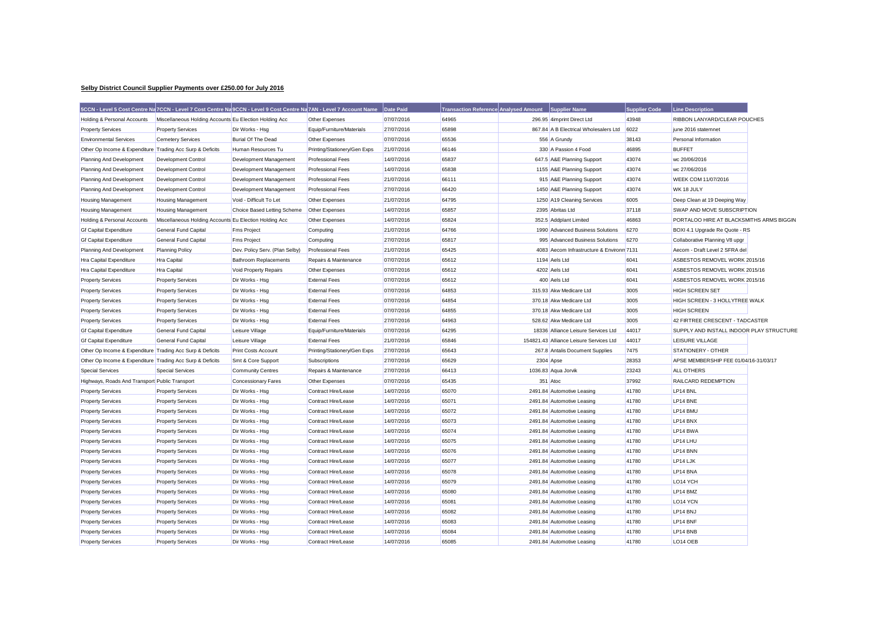## **Selby District Council Supplier Payments over £250.00 for July 2016**

|                                                           | 5CCN - Level 5 Cost Centre Na 7CCN - Level 7 Cost Centre Na 9CCN - Level 9 Cost Centre Na 7AN - Level 7 Account Name |                                |                              | Date Paid  | <b>Transaction Reference Analysed Amount</b> | Supplier Name                             | <b>Supplier Code</b> | <b>Line Description</b>                  |  |
|-----------------------------------------------------------|----------------------------------------------------------------------------------------------------------------------|--------------------------------|------------------------------|------------|----------------------------------------------|-------------------------------------------|----------------------|------------------------------------------|--|
| Holding & Personal Accounts                               | Miscellaneous Holding Accounts Eu Election Holding Acc                                                               |                                | Other Expenses               | 07/07/2016 | 64965                                        | 296.95 4imprint Direct Ltd                | 43948                | RIBBON LANYARD/CLEAR POUCHES             |  |
| <b>Property Services</b>                                  | <b>Property Services</b>                                                                                             | Dir Works - Hsg                | Equip/Furniture/Materials    | 27/07/2016 | 65898                                        | 867.84 A B Electrical Wholesalers Ltd     | 6022                 | june 2016 statemnet                      |  |
| <b>Environmental Services</b>                             | <b>Cemetery Services</b>                                                                                             | <b>Burial Of The Dead</b>      | Other Expenses               | 07/07/2016 | 65536                                        | 556 A Grundy                              | 38143                | Personal Information                     |  |
| Other Op Income & Expenditure Trading Acc Surp & Deficits |                                                                                                                      | Human Resources Tu             | Printing/Stationery/Gen Exps | 21/07/2016 | 66146                                        | 330 A Passion 4 Food                      | 46895                | <b>BUFFET</b>                            |  |
| Planning And Development                                  | <b>Development Control</b>                                                                                           | Development Management         | <b>Professional Fees</b>     | 14/07/2016 | 65837                                        | 647.5 A&E Planning Support                | 43074                | wc 20/06/2016                            |  |
| Planning And Development                                  | Development Control                                                                                                  | Development Management         | <b>Professional Fees</b>     | 14/07/2016 | 65838                                        | 1155 A&E Planning Support                 | 43074                | wc 27/06/2016                            |  |
| Planning And Development                                  | Development Control                                                                                                  | Development Management         | <b>Professional Fees</b>     | 21/07/2016 | 66111                                        | 915 A&E Planning Support                  | 43074                | WEEK COM 11/07/2016                      |  |
| Planning And Development                                  | <b>Development Control</b>                                                                                           | Development Management         | <b>Professional Fees</b>     | 27/07/2016 | 66420                                        | 1450 A&E Planning Support                 | 43074                | WK 18 JULY                               |  |
| <b>Housing Management</b>                                 | <b>Housing Management</b>                                                                                            | Void - Difficult To Let        | Other Expenses               | 21/07/2016 | 64795                                        | 1250 A19 Cleaning Services                | 6005                 | Deep Clean at 19 Deeping Way             |  |
| Housing Management                                        | <b>Housing Management</b>                                                                                            | Choice Based Letting Scheme    | Other Expenses               | 14/07/2016 | 65857                                        | 2395 Abritas Ltd                          | 37118                | SWAP AND MOVE SUBSCRIPTION               |  |
| Holding & Personal Accounts                               | Miscellaneous Holding Accounts Eu Election Holding Acc                                                               |                                | Other Expenses               | 14/07/2016 | 65824                                        | 352.5 Addplant Limited                    | 46863                | PORTALOO HIRE AT BLACKSMITHS ARMS BIGGIN |  |
| <b>Gf Capital Expenditure</b>                             | <b>General Fund Capital</b>                                                                                          | <b>Fms Project</b>             | Computing                    | 21/07/2016 | 64766                                        | 1990 Advanced Business Solutions          | 6270                 | BOXI 4.1 Upgrade Re Quote - RS           |  |
| <b>Gf Capital Expenditure</b>                             | General Fund Capital                                                                                                 | <b>Fms Project</b>             | Computing                    | 27/07/2016 | 65817                                        | 995 Advanced Business Solutions           | 6270                 | Collaborative Planning V8 upgr           |  |
| Planning And Development                                  | <b>Planning Policy</b>                                                                                               | Dev. Policy Serv. (Plan Selby) | <b>Professional Fees</b>     | 21/07/2016 | 65425                                        | 4083 Aecom Infrastructure & Environn 7131 |                      | Aecom - Draft Level 2 SFRA del           |  |
| Hra Capital Expenditure                                   | Hra Capital                                                                                                          | <b>Bathroom Replacements</b>   | Repairs & Maintenance        | 07/07/2016 | 65612                                        | 1194 Aels Ltd                             | 6041                 | ASBESTOS REMOVEL WORK 2015/16            |  |
| Hra Capital Expenditure                                   | <b>Hra Capital</b>                                                                                                   | Void Property Repairs          | Other Expenses               | 07/07/2016 | 65612                                        | 4202 Aels Ltd                             | 6041                 | ASBESTOS REMOVEL WORK 2015/16            |  |
| <b>Property Services</b>                                  | <b>Property Services</b>                                                                                             | Dir Works - Hsg                | <b>External Fees</b>         | 07/07/2016 | 65612                                        | 400 Aels Ltd                              | 6041                 | ASBESTOS REMOVEL WORK 2015/16            |  |
| <b>Property Services</b>                                  | <b>Property Services</b>                                                                                             | Dir Works - Hsg                | <b>External Fees</b>         | 07/07/2016 | 64853                                        | 315.93 Akw Medicare Ltd                   | 3005                 | <b>HIGH SCREEN SET</b>                   |  |
| <b>Property Services</b>                                  | <b>Property Services</b>                                                                                             | Dir Works - Hsg                | <b>External Fees</b>         | 07/07/2016 | 64854                                        | 370.18 Akw Medicare Ltd                   | 3005                 | HIGH SCREEN - 3 HOLLYTREE WALK           |  |
| <b>Property Services</b>                                  | <b>Property Services</b>                                                                                             | Dir Works - Hsg                | <b>External Fees</b>         | 07/07/2016 | 64855                                        | 370.18 Akw Medicare Ltd                   | 3005                 | <b>HIGH SCREEN</b>                       |  |
| <b>Property Services</b>                                  | <b>Property Services</b>                                                                                             | Dir Works - Hsg                | <b>External Fees</b>         | 27/07/2016 | 64963                                        | 528.62 Akw Medicare Ltd                   | 3005                 | 42 FIRTREE CRESCENT - TADCASTER          |  |
| <b>Gf Capital Expenditure</b>                             | General Fund Capital                                                                                                 | Leisure Village                | Equip/Furniture/Materials    | 07/07/2016 | 64295                                        | 18336 Alliance Leisure Services Ltd       | 44017                | SUPPLY AND INSTALL INDOOR PLAY STRUCTURE |  |
| <b>Gf Capital Expenditure</b>                             | <b>General Fund Capital</b>                                                                                          | Leisure Village                | <b>External Fees</b>         | 21/07/2016 | 65846                                        | 154821.43 Alliance Leisure Services Ltd   | 44017                | LEISURE VILLAGE                          |  |
| Other Op Income & Expenditure Trading Acc Surp & Deficits |                                                                                                                      | <b>Print Costs Account</b>     | Printing/Stationery/Gen Exps | 27/07/2016 | 65643                                        | 267.8 Antalis Document Supplies           | 7475                 | STATIONERY - OTHER                       |  |
| Other Op Income & Expenditure Trading Acc Surp & Deficits |                                                                                                                      | Smt & Core Support             | Subscriptions                | 27/07/2016 | 65629                                        | 2304 Apse                                 | 28353                | APSE MEMBERSHIP FEE 01/04/16-31/03/17    |  |
| <b>Special Services</b>                                   | <b>Special Services</b>                                                                                              | <b>Community Centres</b>       | Repairs & Maintenance        | 27/07/2016 | 66413                                        | 1036.83 Aqua Jorvik                       | 23243                | <b>ALL OTHERS</b>                        |  |
| Highways, Roads And Transport Public Transport            |                                                                                                                      | <b>Concessionary Fares</b>     | Other Expenses               | 07/07/2016 | 65435                                        | 351 Atoc                                  | 37992                | RAILCARD REDEMPTION                      |  |
| <b>Property Services</b>                                  | <b>Property Services</b>                                                                                             | Dir Works - Hsg                | Contract Hire/Lease          | 14/07/2016 | 65070                                        | 2491.84 Automotive Leasing                | 41780                | LP14 BNL                                 |  |
| <b>Property Services</b>                                  | <b>Property Services</b>                                                                                             | Dir Works - Hsg                | Contract Hire/Lease          | 14/07/2016 | 65071                                        | 2491.84 Automotive Leasing                | 41780                | LP14 BNE                                 |  |
| <b>Property Services</b>                                  | <b>Property Services</b>                                                                                             | Dir Works - Hsg                | Contract Hire/Lease          | 14/07/2016 | 65072                                        | 2491.84 Automotive Leasing                | 41780                | LP14 BMU                                 |  |
| <b>Property Services</b>                                  | <b>Property Services</b>                                                                                             | Dir Works - Hsg                | Contract Hire/Lease          | 14/07/2016 | 65073                                        | 2491.84 Automotive Leasing                | 41780                | LP14 BNX                                 |  |
| <b>Property Services</b>                                  | <b>Property Services</b>                                                                                             | Dir Works - Hsg                | Contract Hire/Lease          | 14/07/2016 | 65074                                        | 2491.84 Automotive Leasing                | 41780                | LP14 BWA                                 |  |
| <b>Property Services</b>                                  | <b>Property Services</b>                                                                                             | Dir Works - Hsg                | Contract Hire/Lease          | 14/07/2016 | 65075                                        | 2491.84 Automotive Leasing                | 41780                | LP14 LHU                                 |  |
| <b>Property Services</b>                                  | <b>Property Services</b>                                                                                             | Dir Works - Hsg                | Contract Hire/Lease          | 14/07/2016 | 65076                                        | 2491.84 Automotive Leasing                | 41780                | LP14 BNN                                 |  |
| <b>Property Services</b>                                  | <b>Property Services</b>                                                                                             | Dir Works - Hsg                | Contract Hire/Lease          | 14/07/2016 | 65077                                        | 2491.84 Automotive Leasing                | 41780                | LP14 LJK                                 |  |
| <b>Property Services</b>                                  | <b>Property Services</b>                                                                                             | Dir Works - Hsg                | Contract Hire/Lease          | 14/07/2016 | 65078                                        | 2491.84 Automotive Leasing                | 41780                | LP14 BNA                                 |  |
| <b>Property Services</b>                                  | <b>Property Services</b>                                                                                             | Dir Works - Hsg                | Contract Hire/Lease          | 14/07/2016 | 65079                                        | 2491.84 Automotive Leasing                | 41780                | LO14 YCH                                 |  |
| <b>Property Services</b>                                  | <b>Property Services</b>                                                                                             | Dir Works - Hsg                | Contract Hire/Lease          | 14/07/2016 | 65080                                        | 2491.84 Automotive Leasing                | 41780                | LP14 BMZ                                 |  |
| <b>Property Services</b>                                  | <b>Property Services</b>                                                                                             | Dir Works - Hsg                | Contract Hire/Lease          | 14/07/2016 | 65081                                        | 2491.84 Automotive Leasing                | 41780                | LO14 YCN                                 |  |
| <b>Property Services</b>                                  | <b>Property Services</b>                                                                                             | Dir Works - Hsg                | Contract Hire/Lease          | 14/07/2016 | 65082                                        | 2491.84 Automotive Leasing                | 41780                | LP14 BNJ                                 |  |
| <b>Property Services</b>                                  | <b>Property Services</b>                                                                                             | Dir Works - Hsg                | Contract Hire/Lease          | 14/07/2016 | 65083                                        | 2491.84 Automotive Leasing                | 41780                | LP14 BNF                                 |  |
| <b>Property Services</b>                                  | <b>Property Services</b>                                                                                             | Dir Works - Hsg                | Contract Hire/Lease          | 14/07/2016 | 65084                                        | 2491.84 Automotive Leasing                | 41780                | LP14 BNB                                 |  |
| <b>Property Services</b>                                  | <b>Property Services</b>                                                                                             | Dir Works - Hsg                | Contract Hire/Lease          | 14/07/2016 | 65085                                        | 2491.84 Automotive Leasing                | 41780                | LO14 OEB                                 |  |
|                                                           |                                                                                                                      |                                |                              |            |                                              |                                           |                      |                                          |  |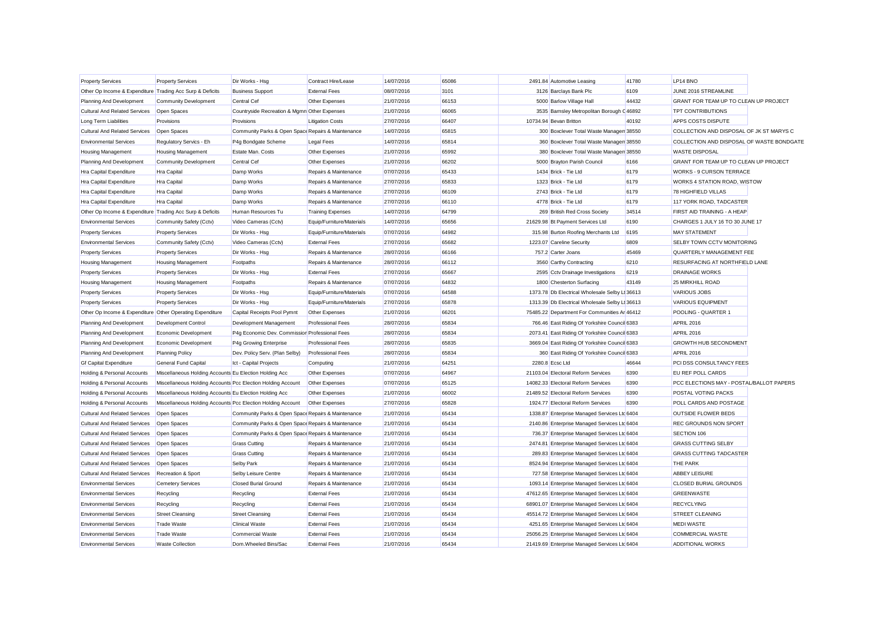| <b>Property Services</b>                                  | <b>Property Services</b>                                    | Dir Works - Hsg                                    | Contract Hire/Lease       | 14/07/2016 | 65086 | 2491.84 Automotive Leasing                     | 41780 | LP14 BNO                                  |  |
|-----------------------------------------------------------|-------------------------------------------------------------|----------------------------------------------------|---------------------------|------------|-------|------------------------------------------------|-------|-------------------------------------------|--|
| Other Op Income & Expenditure Trading Acc Surp & Deficits |                                                             | <b>Business Support</b>                            | <b>External Fees</b>      | 08/07/2016 | 3101  | 3126 Barclays Bank Plc                         | 6109  | JUNE 2016 STREAMLINE                      |  |
| Planning And Development                                  | <b>Community Development</b>                                | Central Cef                                        | Other Expenses            | 21/07/2016 | 66153 | 5000 Barlow Village Hall                       | 44432 | GRANT FOR TEAM UP TO CLEAN UP PROJECT     |  |
| <b>Cultural And Related Services</b>                      | Open Spaces                                                 | Countryside Recreation & Mgmn Other Expenses       |                           | 21/07/2016 | 66065 | 3535 Barnsley Metropolitan Borough (46892      |       | <b>TPT CONTRIBUTIONS</b>                  |  |
| Long Term Liabilities                                     | Provisions                                                  | Provisions                                         | <b>Litigation Costs</b>   | 27/07/2016 | 66407 | 10734.94 Bevan Britton                         | 40192 | APPS COSTS DISPUTE                        |  |
| <b>Cultural And Related Services</b>                      | Open Spaces                                                 | Community Parks & Open Space Repairs & Maintenance |                           | 14/07/2016 | 65815 | 300 Boxclever Total Waste Manager 38550        |       | COLLECTION AND DISPOSAL OF JK ST MARYS C  |  |
| <b>Environmental Services</b>                             | Regulatory Servics - Eh                                     | P4g Bondgate Scheme                                | <b>Legal Fees</b>         | 14/07/2016 | 65814 | 360 Boxclever Total Waste Managen 38550        |       | COLLECTION AND DISPOSAL OF WASTE BONDGATE |  |
| Housing Management                                        | <b>Housing Management</b>                                   | Estate Man. Costs                                  | Other Expenses            | 21/07/2016 | 65992 | 380 Boxclever Total Waste Managen 38550        |       | <b>WASTE DISPOSAL</b>                     |  |
| Planning And Development                                  | <b>Community Development</b>                                | Central Cef                                        | Other Expenses            | 21/07/2016 | 66202 | 5000 Bravton Parish Council                    | 6166  | GRANT FOR TEAM UP TO CLEAN UP PROJECT     |  |
| Hra Capital Expenditure                                   | Hra Capital                                                 | Damp Works                                         | Repairs & Maintenance     | 07/07/2016 | 65433 | 1434 Brick - Tie Ltd                           | 6179  | WORKS - 9 CURSON TERRACE                  |  |
| Hra Capital Expenditure                                   | <b>Hra Capital</b>                                          | Damp Works                                         | Repairs & Maintenance     | 27/07/2016 | 65833 | 1323 Brick - Tie Ltd                           | 6179  | WORKS 4 STATION ROAD, WISTOW              |  |
| Hra Capital Expenditure                                   | <b>Hra Capital</b>                                          | Damp Works                                         | Repairs & Maintenance     | 27/07/2016 | 66109 | 2743 Brick - Tie Ltd                           | 6179  | 78 HIGHFIELD VILLAS                       |  |
| Hra Capital Expenditure                                   | <b>Hra Capital</b>                                          | Damp Works                                         | Repairs & Maintenance     | 27/07/2016 | 66110 | 4778 Brick - Tie Ltd                           | 6179  | 117 YORK ROAD, TADCASTER                  |  |
| Other Op Income & Expenditure Trading Acc Surp & Deficits |                                                             | Human Resources Tu                                 | <b>Training Expenses</b>  | 14/07/2016 | 64799 | 269 British Red Cross Society                  | 34514 | FIRST AID TRAINING - A HEAP               |  |
| <b>Environmental Services</b>                             | Community Safety (Cctv)                                     | Video Cameras (Cctv)                               | Equip/Furniture/Materials | 14/07/2016 | 65656 | 21629.98 Bt Payment Services Ltd               | 6190  | CHARGES 1 JULY 16 TO 30 JUNE 17           |  |
| <b>Property Services</b>                                  | <b>Property Services</b>                                    | Dir Works - Hsg                                    | Equip/Furniture/Materials | 07/07/2016 | 64982 | 315.98 Burton Roofing Merchants Ltd            | 6195  | <b>MAY STATEMENT</b>                      |  |
| <b>Environmental Services</b>                             | Community Safety (Cctv)                                     | Video Cameras (Cctv)                               | <b>External Fees</b>      | 27/07/2016 | 65682 | 1223.07 Careline Security                      | 6809  | SELBY TOWN CCTV MONITORING                |  |
| <b>Property Services</b>                                  | <b>Property Services</b>                                    | Dir Works - Hsg                                    | Repairs & Maintenance     | 28/07/2016 | 66166 | 757.2 Carter Joans                             | 45469 | QUARTERLY MANAGEMENT FEE                  |  |
| <b>Housing Management</b>                                 | <b>Housing Management</b>                                   | Footpaths                                          | Repairs & Maintenance     | 28/07/2016 | 66112 | 3560 Carthy Contracting                        | 6210  | RESURFACING AT NORTHFIELD LANE            |  |
| <b>Property Services</b>                                  | <b>Property Services</b>                                    | Dir Works - Hsg                                    | <b>External Fees</b>      | 27/07/2016 | 65667 | 2595 Cctv Drainage Investigations              | 6219  | DRAINAGE WORKS                            |  |
| <b>Housing Management</b>                                 | <b>Housing Management</b>                                   | Footpaths                                          | Repairs & Maintenance     | 07/07/2016 | 64832 | 1800 Chesterton Surfacing                      | 43149 | 25 MIRKHILL ROAD                          |  |
| <b>Property Services</b>                                  | <b>Property Services</b>                                    | Dir Works - Hsg                                    | Equip/Furniture/Materials | 07/07/2016 | 64588 | 1373.78 Db Electrical Wholesale Selby Li 36613 |       | <b>VARIOUS JOBS</b>                       |  |
| <b>Property Services</b>                                  | <b>Property Services</b>                                    | Dir Works - Hsg                                    | Equip/Furniture/Materials | 27/07/2016 | 65878 | 1313.39 Db Electrical Wholesale Selby Li 36613 |       | <b>VARIOUS EQUIPMENT</b>                  |  |
| Other Op Income & Expenditure Other Operating Expenditure |                                                             | Capital Receipts Pool Pymnt                        | Other Expenses            | 21/07/2016 | 66201 | 75485.22 Department For Communities Ar 46412   |       | POOLING - QUARTER 1                       |  |
| Planning And Development                                  | <b>Development Control</b>                                  | Development Management                             | <b>Professional Fees</b>  | 28/07/2016 | 65834 | 766.46 East Riding Of Yorkshire Council 6383   |       | <b>APRIL 2016</b>                         |  |
| Planning And Development                                  | Economic Development                                        | P4g Economic Dev. Commissior Professional Fees     |                           | 28/07/2016 | 65834 | 2073.41 East Riding Of Yorkshire Council 6383  |       | <b>APRIL 2016</b>                         |  |
| Planning And Development                                  | Economic Development                                        | P4g Growing Enterprise                             | <b>Professional Fees</b>  | 28/07/2016 | 65835 | 3669.04 East Riding Of Yorkshire Council 6383  |       | <b>GROWTH HUB SECONDMENT</b>              |  |
| Planning And Development                                  | <b>Planning Policy</b>                                      | Dev. Policy Serv. (Plan Selby)                     | <b>Professional Fees</b>  | 28/07/2016 | 65834 | 360 East Riding Of Yorkshire Council 6383      |       | <b>APRIL 2016</b>                         |  |
| <b>Gf Capital Expenditure</b>                             | General Fund Capital                                        | Ict - Capital Projects                             | Computing                 | 21/07/2016 | 64251 | 2280.8 Ecsc Ltd                                | 46644 | PCI DSS CONSULTANCY FEES                  |  |
| Holding & Personal Accounts                               | Miscellaneous Holding Accounts Eu Election Holding Acc      |                                                    | Other Expenses            | 07/07/2016 | 64967 | 21103.04 Electoral Reform Services             | 6390  | EU REF POLL CARDS                         |  |
| Holding & Personal Accounts                               | Miscellaneous Holding Accounts Pcc Election Holding Account |                                                    | Other Expenses            | 07/07/2016 | 65125 | 14082.33 Electoral Reform Services             | 6390  | PCC ELECTIONS MAY - POSTAL/BALLOT PAPERS  |  |
| <b>Holding &amp; Personal Accounts</b>                    | Miscellaneous Holding Accounts Eu Election Holding Acc      |                                                    | Other Expenses            | 21/07/2016 | 66002 | 21489.52 Electoral Reform Services             | 6390  | POSTAL VOTING PACKS                       |  |
| Holding & Personal Accounts                               | Miscellaneous Holding Accounts Pcc Election Holding Account |                                                    | Other Expenses            | 27/07/2016 | 65828 | 1924.77 Electoral Reform Services              | 6390  | POLL CARDS AND POSTAGE                    |  |
| <b>Cultural And Related Services</b>                      | Open Spaces                                                 | Community Parks & Open Space Repairs & Maintenance |                           | 21/07/2016 | 65434 | 1338.87 Enterprise Managed Services Ltc 6404   |       | <b>OUTSIDE FLOWER BEDS</b>                |  |
| <b>Cultural And Related Services</b>                      | Open Spaces                                                 | Community Parks & Open Space Repairs & Maintenance |                           | 21/07/2016 | 65434 | 2140.86 Enterprise Managed Services Ltd 6404   |       | REC GROUNDS NON SPORT                     |  |
| <b>Cultural And Related Services</b>                      | Open Spaces                                                 | Community Parks & Open Space Repairs & Maintenance |                           | 21/07/2016 | 65434 | 736.37 Enterprise Managed Services Ltd 6404    |       | SECTION 106                               |  |
| Cultural And Related Services                             | Open Spaces                                                 | <b>Grass Cutting</b>                               | Repairs & Maintenance     | 21/07/2016 | 65434 | 2474.81 Enterprise Managed Services Ltc 6404   |       | <b>GRASS CUTTING SELBY</b>                |  |
| <b>Cultural And Related Services</b>                      | Open Spaces                                                 | <b>Grass Cutting</b>                               | Repairs & Maintenance     | 21/07/2016 | 65434 | 289.83 Enterprise Managed Services Ltd 6404    |       | <b>GRASS CUTTING TADCASTER</b>            |  |
| Cultural And Related Services                             | Open Spaces                                                 | Selby Park                                         | Repairs & Maintenance     | 21/07/2016 | 65434 | 8524.94 Enterprise Managed Services Ltc 6404   |       | <b>THE PARK</b>                           |  |
| Cultural And Related Services                             | Recreation & Sport                                          | Selby Leisure Centre                               | Repairs & Maintenance     | 21/07/2016 | 65434 | 727.58 Enterprise Managed Services Ltd 6404    |       | ABBEY LEISURE                             |  |
| <b>Environmental Services</b>                             | Cemetery Services                                           | <b>Closed Burial Ground</b>                        | Repairs & Maintenance     | 21/07/2016 | 65434 | 1093.14 Enterprise Managed Services Ltc 6404   |       | CLOSED BURIAL GROUNDS                     |  |
| <b>Environmental Services</b>                             | Recycling                                                   | Recycling                                          | <b>External Fees</b>      | 21/07/2016 | 65434 | 47612.65 Enterprise Managed Services Ltc 6404  |       | <b>GREENWASTE</b>                         |  |
| <b>Environmental Services</b>                             | Recycling                                                   | Recycling                                          | <b>External Fees</b>      | 21/07/2016 | 65434 | 68901.07 Enterprise Managed Services Ltd 6404  |       | <b>RECYCLYING</b>                         |  |
| <b>Environmental Services</b>                             | <b>Street Cleansing</b>                                     | <b>Street Cleansing</b>                            | <b>External Fees</b>      | 21/07/2016 | 65434 | 45514.72 Enterprise Managed Services Ltc 6404  |       | <b>STREET CLEANING</b>                    |  |
| <b>Environmental Services</b>                             | <b>Trade Waste</b>                                          | <b>Clinical Waste</b>                              | <b>External Fees</b>      | 21/07/2016 | 65434 | 4251.65 Enterprise Managed Services Ltd 6404   |       | <b>MEDI WASTE</b>                         |  |
| <b>Environmental Services</b>                             | <b>Trade Waste</b>                                          | <b>Commercial Waste</b>                            | <b>External Fees</b>      | 21/07/2016 | 65434 | 25056.25 Enterprise Managed Services Ltd 6404  |       | <b>COMMERCIAL WASTE</b>                   |  |
| <b>Environmental Services</b>                             | Waste Collection                                            | Dom Wheeled Bins/Sac                               | <b>External Fees</b>      | 21/07/2016 | 65434 | 21419.69 Enterprise Managed Services Ltd 6404  |       | <b>ADDITIONAL WORKS</b>                   |  |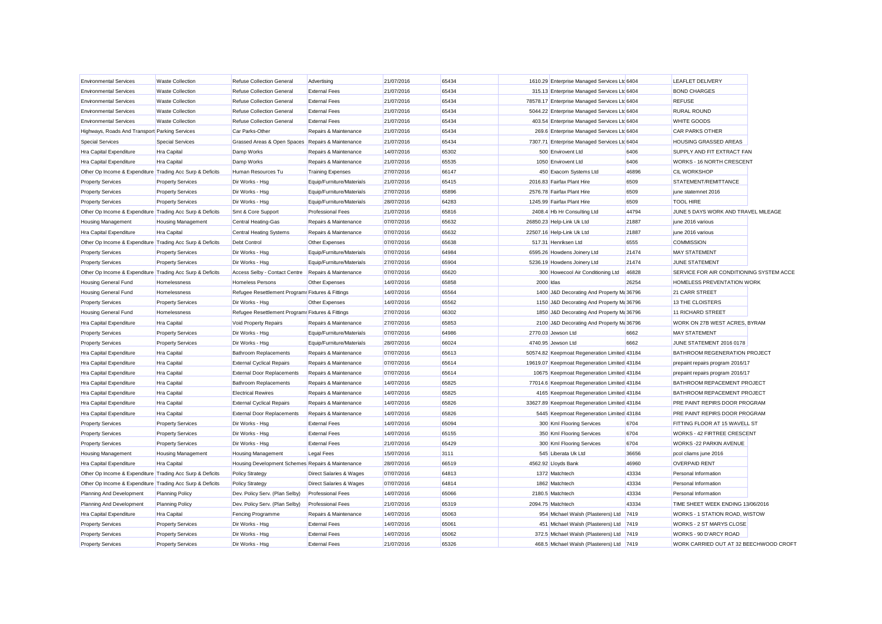| <b>Environmental Services</b>                             | <b>Waste Collection</b>   | <b>Refuse Collection General</b>                  | Advertising               | 21/07/2016 | 65434 | 1610.29 Enterprise Managed Services Ltd 6404  |       | <b>LEAFLET DELIVERY</b>                  |  |
|-----------------------------------------------------------|---------------------------|---------------------------------------------------|---------------------------|------------|-------|-----------------------------------------------|-------|------------------------------------------|--|
| <b>Environmental Services</b>                             | <b>Waste Collection</b>   | <b>Refuse Collection General</b>                  | <b>External Fees</b>      | 21/07/2016 | 65434 | 315.13 Enterprise Managed Services Ltd 6404   |       | <b>BOND CHARGES</b>                      |  |
| <b>Environmental Services</b>                             | <b>Waste Collection</b>   | <b>Refuse Collection General</b>                  | <b>External Fees</b>      | 21/07/2016 | 65434 | 78578.17 Enterprise Managed Services Ltd 6404 |       | <b>REFUSE</b>                            |  |
| <b>Environmental Services</b>                             | <b>Waste Collection</b>   | Refuse Collection General                         | <b>External Fees</b>      | 21/07/2016 | 65434 | 5044.22 Enterprise Managed Services Ltd 6404  |       | <b>RURAL ROUND</b>                       |  |
| <b>Environmental Services</b>                             | <b>Waste Collection</b>   | <b>Refuse Collection General</b>                  | <b>External Fees</b>      | 21/07/2016 | 65434 | 403.54 Enterprise Managed Services Ltd 6404   |       | <b>WHITE GOODS</b>                       |  |
| Highways, Roads And Transport Parking Services            |                           | Car Parks-Other                                   | Repairs & Maintenance     | 21/07/2016 | 65434 | 269.6 Enterprise Managed Services Ltd 6404    |       | <b>CAR PARKS OTHER</b>                   |  |
| <b>Special Services</b>                                   | <b>Special Services</b>   | Grassed Areas & Open Spaces Repairs & Maintenance |                           | 21/07/2016 | 65434 | 7307.71 Enterprise Managed Services Ltd 6404  |       | <b>HOUSING GRASSED AREAS</b>             |  |
| Hra Capital Expenditure                                   | Hra Capital               | Damp Works                                        | Repairs & Maintenance     | 14/07/2016 | 65302 | 500 Envirovent Ltd                            | 6406  | SUPPLY AND FIT EXTRACT FAN               |  |
| Hra Capital Expenditure                                   | Hra Capital               | Damp Works                                        | Repairs & Maintenance     | 21/07/2016 | 65535 | 1050 Envirovent Ltd                           | 6406  | WORKS - 16 NORTH CRESCENT                |  |
| Other Op Income & Expenditure Trading Acc Surp & Deficits |                           | Human Resources Tu                                | <b>Training Expenses</b>  | 27/07/2016 | 66147 | 450 Exacom Systems Ltd                        | 46896 | <b>CIL WORKSHOP</b>                      |  |
| <b>Property Services</b>                                  | <b>Property Services</b>  | Dir Works - Hsg                                   | Equip/Furniture/Materials | 21/07/2016 | 65415 | 2016.83 Fairfax Plant Hire                    | 6509  | STATEMENT/REMITTANCE                     |  |
| <b>Property Services</b>                                  | <b>Property Services</b>  | Dir Works - Hsg                                   | Equip/Furniture/Materials | 27/07/2016 | 65896 | 2576.78 Fairfax Plant Hire                    | 6509  | june statemnet 2016                      |  |
| <b>Property Services</b>                                  | <b>Property Services</b>  | Dir Works - Hsg                                   | Equip/Furniture/Materials | 28/07/2016 | 64283 | 1245.99 Fairfax Plant Hire                    | 6509  | <b>TOOL HIRE</b>                         |  |
| Other Op Income & Expenditure Trading Acc Surp & Deficits |                           | Smt & Core Support                                | <b>Professional Fees</b>  | 21/07/2016 | 65816 | 2408.4 Hb Hr Consulting Ltd                   | 44794 | JUNE 5 DAYS WORK AND TRAVEL MILEAGE      |  |
| <b>Housing Management</b>                                 | <b>Housing Management</b> | Central Heating-Gas                               | Repairs & Maintenance     | 07/07/2016 | 65632 | 26850.23 Help-Link Uk Ltd                     | 21887 | june 2016 various                        |  |
| <b>Hra Capital Expenditure</b>                            | <b>Hra Capital</b>        | <b>Central Heating Systems</b>                    | Repairs & Maintenance     | 07/07/2016 | 65632 | 22507.16 Help-Link Uk Ltd                     | 21887 | june 2016 various                        |  |
| Other Op Income & Expenditure Trading Acc Surp & Deficits |                           | Debt Control                                      | Other Expenses            | 07/07/2016 | 65638 | 517.31 Henriksen Ltd                          | 6555  | <b>COMMISSION</b>                        |  |
| <b>Property Services</b>                                  | <b>Property Services</b>  | Dir Works - Hsg                                   | Equip/Furniture/Materials | 07/07/2016 | 64984 | 6595.26 Howdens Joinery Ltd                   | 21474 | <b>MAY STATEMENT</b>                     |  |
| <b>Property Services</b>                                  | <b>Property Services</b>  | Dir Works - Hsg                                   | Equip/Furniture/Materials | 27/07/2016 | 65904 | 5236.19 Howdens Joinery Ltd                   | 21474 | <b>JUNE STATEMENT</b>                    |  |
| Other Op Income & Expenditure Trading Acc Surp & Deficits |                           | Access Selby - Contact Centre                     | Repairs & Maintenance     | 07/07/2016 | 65620 | 300 Howecool Air Conditioning Ltd             | 46828 | SERVICE FOR AIR CONDITIONING SYSTEM ACCE |  |
| Housing General Fund                                      | Homelessness              | <b>Homeless Persons</b>                           | Other Expenses            | 14/07/2016 | 65858 | 2000 Idas                                     | 26254 | HOMELESS PREVENTATION WORK               |  |
| Housing General Fund                                      | Homelessness              | Refugee Resettlement Programr Fixtures & Fittings |                           | 14/07/2016 | 65564 | 1400 J&D Decorating And Property Ma 36796     |       | 21 CARR STREET                           |  |
| <b>Property Services</b>                                  | <b>Property Services</b>  | Dir Works - Hsg                                   | Other Expenses            | 14/07/2016 | 65562 | 1150 J&D Decorating And Property Ma 36796     |       | 13 THE CLOISTERS                         |  |
| Housing General Fund                                      | Homelessness              | Refugee Resettlement Programr Fixtures & Fittings |                           | 27/07/2016 | 66302 | 1850 J&D Decorating And Property Ma 36796     |       | 11 RICHARD STREET                        |  |
| Hra Capital Expenditure                                   | Hra Capital               |                                                   | Repairs & Maintenance     | 27/07/2016 | 65853 | 2100 J&D Decorating And Property Ma 36796     |       | WORK ON 27B WEST ACRES, BYRAM            |  |
|                                                           |                           | Void Property Repairs                             |                           |            | 64986 | 2770.03 Jewson Ltd                            |       | <b>MAY STATEMENT</b>                     |  |
| <b>Property Services</b>                                  | <b>Property Services</b>  | Dir Works - Hsg                                   | Equip/Furniture/Materials | 07/07/2016 |       |                                               | 6662  |                                          |  |
| <b>Property Services</b>                                  | <b>Property Services</b>  | Dir Works - Hsg                                   | Equip/Furniture/Materials | 28/07/2016 | 66024 | 4740.95 Jewson Ltd                            | 6662  | JUNE STATEMENT 2016 0178                 |  |
| Hra Capital Expenditure                                   | Hra Capital               | <b>Bathroom Replacements</b>                      | Repairs & Maintenance     | 07/07/2016 | 65613 | 50574.82 Keepmoat Regeneration Limited 43184  |       | <b>BATHROOM REGENERATION PROJECT</b>     |  |
| Hra Capital Expenditure                                   | Hra Capital               | <b>External Cyclical Repairs</b>                  | Repairs & Maintenance     | 07/07/2016 | 65614 | 19619.07 Keepmoat Regeneration Limited 43184  |       | prepaint repairs program 2016/17         |  |
| Hra Capital Expenditure                                   | Hra Capital               | <b>External Door Replacements</b>                 | Repairs & Maintenance     | 07/07/2016 | 65614 | 10675 Keepmoat Regeneration Limited 43184     |       | prepaint repairs program 2016/17         |  |
| Hra Capital Expenditure                                   | Hra Capital               | <b>Bathroom Replacements</b>                      | Repairs & Maintenance     | 14/07/2016 | 65825 | 77014.6 Keepmoat Regeneration Limited 43184   |       | <b>BATHROOM REPACEMENT PROJECT</b>       |  |
| Hra Capital Expenditure                                   | <b>Hra Capital</b>        | <b>Electrical Rewires</b>                         | Repairs & Maintenance     | 14/07/2016 | 65825 | 4165 Keepmoat Regeneration Limited 43184      |       | BATHROOM REPACEMENT PROJECT              |  |
| <b>Hra Capital Expenditure</b>                            | <b>Hra Capital</b>        | <b>External Cyclical Repairs</b>                  | Repairs & Maintenance     | 14/07/2016 | 65826 | 33627.89 Keepmoat Regeneration Limited 43184  |       | PRE PAINT REPIRS DOOR PROGRAM            |  |
| Hra Capital Expenditure                                   | Hra Capital               | <b>External Door Replacements</b>                 | Repairs & Maintenance     | 14/07/2016 | 65826 | 5445 Keepmoat Regeneration Limited 43184      |       | <b>PRE PAINT REPIRS DOOR PROGRAM</b>     |  |
| <b>Property Services</b>                                  | <b>Property Services</b>  | Dir Works - Hsg                                   | <b>External Fees</b>      | 14/07/2016 | 65094 | 300 Kml Flooring Services                     | 6704  | FITTING FLOOR AT 15 WAVELL ST            |  |
| <b>Property Services</b>                                  | <b>Property Services</b>  | Dir Works - Hsg                                   | <b>External Fees</b>      | 14/07/2016 | 65155 | 350 Kml Flooring Services                     | 6704  | <b>WORKS - 42 FIRTREE CRESCENT</b>       |  |
| <b>Property Services</b>                                  | <b>Property Services</b>  | Dir Works - Hsg                                   | <b>External Fees</b>      | 21/07/2016 | 65429 | 300 Kml Flooring Services                     | 6704  | <b>WORKS -22 PARKIN AVENUE</b>           |  |
| <b>Housing Management</b>                                 | <b>Housing Management</b> | <b>Housing Management</b>                         | <b>Legal Fees</b>         | 15/07/2016 | 3111  | 545 Liberata Uk Ltd                           | 36656 | pcol cliams june 2016                    |  |
| Hra Capital Expenditure                                   | Hra Capital               | Housing Development Schemes Repairs & Maintenance |                           | 28/07/2016 | 66519 | 4562.92 Lloyds Bank                           | 46960 | <b>OVERPAID RENT</b>                     |  |
| Other Op Income & Expenditure Trading Acc Surp & Deficits |                           | <b>Policy Strategy</b>                            | Direct Salaries & Wages   | 07/07/2016 | 64813 | 1372 Matchtech                                | 43334 | Personal Information                     |  |
| Other Op Income & Expenditure Trading Acc Surp & Deficits |                           | <b>Policy Strategy</b>                            | Direct Salaries & Wages   | 07/07/2016 | 64814 | 1862 Matchtech                                | 43334 | Personal Information                     |  |
| Planning And Development                                  | <b>Planning Policy</b>    | Dev. Policy Serv. (Plan Selby)                    | <b>Professional Fees</b>  | 14/07/2016 | 65066 | 2180.5 Matchtech                              | 43334 | Personal Information                     |  |
| Planning And Development                                  | <b>Planning Policy</b>    | Dev. Policy Serv. (Plan Selby)                    | <b>Professional Fees</b>  | 21/07/2016 | 65319 | 2094.75 Matchtech                             | 43334 | TIME SHEET WEEK ENDING 13/06/2016        |  |
| Hra Capital Expenditure                                   | Hra Capital               | Fencing Programme                                 | Repairs & Maintenance     | 14/07/2016 | 65063 | 954 Michael Walsh (Plasterers) Ltd 7419       |       | WORKS - 1 STATION ROAD, WISTOW           |  |
| <b>Property Services</b>                                  | <b>Property Services</b>  | Dir Works - Hsg                                   | <b>External Fees</b>      | 14/07/2016 | 65061 | 451 Michael Walsh (Plasterers) Ltd 7419       |       | WORKS - 2 ST MARYS CLOSE                 |  |
| <b>Property Services</b>                                  | <b>Property Services</b>  | Dir Works - Hsg                                   | <b>External Fees</b>      | 14/07/2016 | 65062 | 372.5 Michael Walsh (Plasterers) Ltd 7419     |       | WORKS - 90 D'ARCY ROAD                   |  |
| <b>Property Services</b>                                  | <b>Property Services</b>  | Dir Works - Hsg                                   | <b>External Fees</b>      | 21/07/2016 | 65326 | 468.5 Michael Walsh (Plasterers) Ltd 7419     |       | WORK CARRIED OUT AT 32 BEECHWOOD CROFT   |  |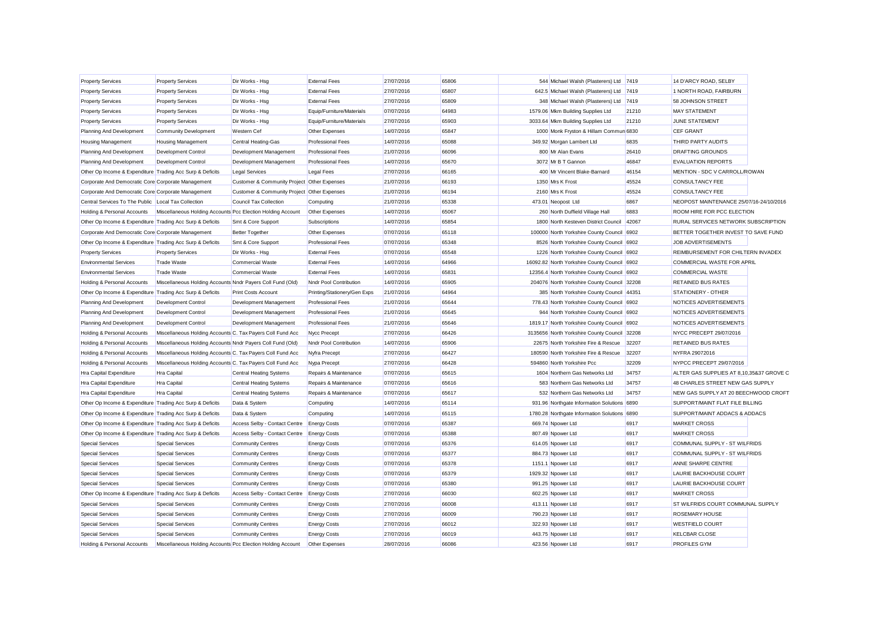| 27/07/2016<br>65806<br>544 Michael Walsh (Plasterers) Ltd 7419<br>14 D'ARCY ROAD, SELBY<br><b>Property Services</b><br><b>Property Services</b><br>Dir Works - Hsg<br><b>External Fees</b><br><b>Property Services</b><br>Dir Works - Hsg<br><b>External Fees</b><br>27/07/2016<br>65807<br>642.5 Michael Walsh (Plasterers) Ltd<br>1 NORTH ROAD, FAIRBURN<br><b>Property Services</b><br>7419<br><b>External Fees</b><br>27/07/2016<br>65809<br>348 Michael Walsh (Plasterers) Ltd<br>58 JOHNSON STREET<br><b>Property Services</b><br><b>Property Services</b><br>Dir Works - Hsg<br>7419<br>64983<br><b>MAY STATEMENT</b><br><b>Property Services</b><br><b>Property Services</b><br>Dir Works - Hsg<br>Equip/Furniture/Materials<br>07/07/2016<br>1579.06 Mkm Building Supplies Ltd<br>21210<br>Dir Works - Hsg<br>Equip/Furniture/Materials<br>65903<br>3033.64 Mkm Building Supplies Ltd<br>21210<br><b>JUNE STATEMENT</b><br><b>Property Services</b><br><b>Property Services</b><br>27/07/2016<br>65847<br>14/07/2016<br>1000 Monk Fryston & Hillam Commun 6830<br><b>CEF GRANT</b><br>Planning And Development<br><b>Community Development</b><br>Western Cef<br>Other Expenses<br>14/07/2016<br>65088<br>6835<br>THIRD PARTY AUDITS<br><b>Housing Management</b><br><b>Housing Management</b><br><b>Central Heating-Gas</b><br><b>Professional Fees</b><br>349.92 Morgan Lambert Ltd<br><b>DRAFTING GROUNDS</b><br>Planning And Development<br>Development Control<br>Development Management<br><b>Professional Fees</b><br>21/07/2016<br>66096<br>800 Mr Alan Evans<br>26410<br>65670<br>46847<br><b>EVALUATION REPORTS</b><br>Development Control<br><b>Professional Fees</b><br>14/07/2016<br>3072 Mr B T Gannon<br>Planning And Development<br>Development Management<br>MENTION - SDC V CARROLL/ROWAN<br>Other Op Income & Expenditure Trading Acc Surp & Deficits<br><b>Legal Services</b><br><b>Legal Fees</b><br>27/07/2016<br>66165<br>400 Mr Vincent Blake-Barnard<br>46154<br>Corporate And Democratic Core Corporate Management<br>Customer & Community Project Other Expenses<br>21/07/2016<br>66193<br>1350 Mrs K Frost<br>45524<br><b>CONSULTANCY FEE</b><br>45524<br>Corporate And Democratic Core Corporate Management<br>Customer & Community Project Other Expenses<br>21/07/2016<br>66194<br>2160 Mrs K Frost<br><b>CONSULTANCY FEE</b><br>Central Services To The Public Local Tax Collection<br>Council Tax Collection<br>21/07/2016<br>65338<br>473.01 Neopost Ltd<br>6867<br>NEOPOST MAINTENANCE 25/07/16-24/10/2016<br>Computing<br>14/07/2016<br>65067<br>260 North Duffield Village Hall<br>6883<br>ROOM HIRE FOR PCC ELECTION<br>Holding & Personal Accounts<br>Miscellaneous Holding Accounts Pcc Election Holding Account<br>Other Expenses<br>65854<br>RURAL SERVICES NETWORK SUBSCRIPTION<br>Other Op Income & Expenditure Trading Acc Surp & Deficits<br>Smt & Core Support<br>Subscriptions<br>14/07/2016<br>1800 North Kesteven District Council<br>42067<br>Corporate And Democratic Core Corporate Management<br>65118<br>100000 North Yorkshire County Council<br>6902<br>BETTER TOGETHER INVEST TO SAVE FUND<br><b>Better Together</b><br>Other Expenses<br>07/07/2016<br>65348<br>JOB ADVERTISEMENTS<br>Other Op Income & Expenditure Trading Acc Surp & Deficits<br><b>Professional Fees</b><br>07/07/2016<br>8526 North Yorkshire County Council 6902<br>Smt & Core Support<br>REIMBURSEMENT FOR CHILTERN INVADEX<br><b>External Fees</b><br>07/07/2016<br>65548<br>1226 North Yorkshire County Council 6902<br><b>Property Services</b><br><b>Property Services</b><br>Dir Works - Hsg<br>14/07/2016<br>64966<br>16092.82 North Yorkshire County Council 6902<br>COMMERCIAL WASTE FOR APRIL<br><b>Environmental Services</b><br><b>Trade Waste</b><br><b>Commercial Waste</b><br><b>External Fees</b><br><b>Environmental Services</b><br><b>External Fees</b><br>14/07/2016<br>65831<br>12356.4 North Yorkshire County Council 6902<br><b>COMMERCIAL WASTE</b><br><b>Trade Waste</b><br><b>Commercial Waste</b><br>65905<br>Holding & Personal Accounts<br>Miscellaneous Holding Accounts Nndr Payers Coll Fund (Old)<br>Nndr Pool Contribution<br>14/07/2016<br>204076 North Yorkshire County Council 32208<br><b>RETAINED BUS RATES</b><br>Other Op Income & Expenditure Trading Acc Surp & Deficits<br><b>Print Costs Account</b><br>Printing/Stationery/Gen Exps<br>21/07/2016<br>64964<br>385 North Yorkshire County Council 44351<br>STATIONERY - OTHER<br>65644<br><b>Professional Fees</b><br>21/07/2016<br>778.43 North Yorkshire County Council 6902<br>NOTICES ADVERTISEMENTS<br>Planning And Development<br><b>Development Control</b><br>Development Management<br>Planning And Development<br>Development Control<br>Development Management<br><b>Professional Fees</b><br>21/07/2016<br>65645<br>944 North Yorkshire County Council 6902<br>NOTICES ADVERTISEMENTS<br><b>Professional Fees</b><br>21/07/2016<br>65646<br>1819.17 North Yorkshire County Council 6902<br>NOTICES ADVERTISEMENTS<br>Planning And Development<br>Development Control<br>Development Management<br>66426<br>NYCC PRECEPT 29/07/2016<br>Holding & Personal Accounts<br>Miscellaneous Holding Accounts C. Tax Payers Coll Fund Acc<br>Nycc Precept<br>27/07/2016<br>3135656 North Yorkshire County Council 32208<br>Miscellaneous Holding Accounts Nndr Payers Coll Fund (Old)<br>Nndr Pool Contribution<br>14/07/2016<br>65906<br>22675 North Yorkshire Fire & Rescue<br>32207<br>RETAINED BUS RATES<br>Holding & Personal Accounts<br>66427<br>Holding & Personal Accounts<br>Miscellaneous Holding Accounts C. Tax Payers Coll Fund Acc<br>27/07/2016<br>180590 North Yorkshire Fire & Rescue<br>32207<br>NYFRA 29072016<br>Nyfra Precept<br>66428<br>32209<br>Miscellaneous Holding Accounts C. Tax Payers Coll Fund Acc<br>Nypa Precept<br>27/07/2016<br>594860 North Yorkshire Pcc<br>NYPCC PRECEPT 29/07/2016<br>Holding & Personal Accounts<br>65615<br>1604 Northern Gas Networks Ltd<br>34757<br>ALTER GAS SUPPLIES AT 8.10.35&37 GROVE C<br><b>Hra Capital Expenditure</b><br>Hra Capital<br><b>Central Heating Systems</b><br>Repairs & Maintenance<br>07/07/2016<br>07/07/2016<br>65616<br>583 Northern Gas Networks Ltd<br>34757<br>48 CHARLES STREET NEW GAS SUPPLY<br>Hra Capital Expenditure<br>Hra Capital<br><b>Central Heating Systems</b><br>Repairs & Maintenance<br>65617<br>34757<br>NEW GAS SUPPLY AT 20 BEECHWOOD CROFT<br>Hra Capital Expenditure<br>Hra Capital<br><b>Central Heating Systems</b><br>Repairs & Maintenance<br>07/07/2016<br>532 Northern Gas Networks Ltd<br>SUPPORT/MAINT FLAT FILE BILLING<br>Other Op Income & Expenditure Trading Acc Surp & Deficits<br>Data & System<br>14/07/2016<br>65114<br>931.96 Northgate Information Solutions<br>6890<br>Computing<br>65115<br>SUPPORT/MAINT ADDACS & ADDACS<br>Other Op Income & Expenditure Trading Acc Surp & Deficits<br>Data & System<br>14/07/2016<br>1780.28 Northgate Information Solutions 6890<br>Computing<br>Other Op Income & Expenditure Trading Acc Surp & Deficits<br>Access Selby - Contact Centre<br><b>Energy Costs</b><br>07/07/2016<br>65387<br>669.74 Npower Ltd<br>6917<br><b>MARKET CROSS</b><br>07/07/2016<br>65388<br>6917<br>Other Op Income & Expenditure Trading Acc Surp & Deficits<br>Access Selby - Contact Centre<br><b>Energy Costs</b><br>807.49 Npower Ltd<br><b>MARKET CROSS</b><br>COMMUNAL SUPPLY - ST WILFRIDS<br><b>Special Services</b><br><b>Special Services</b><br>07/07/2016<br>65376<br>6917<br><b>Community Centres</b><br><b>Energy Costs</b><br>614.05 Npower Ltd<br><b>Special Services</b><br><b>Special Services</b><br><b>Community Centres</b><br>07/07/2016<br>65377<br>884.73 Npower Ltd<br>6917<br>COMMUNAL SUPPLY - ST WILFRIDS<br><b>Energy Costs</b><br>6917<br>ANNE SHARPE CENTRE<br><b>Special Services</b><br><b>Special Services</b><br><b>Community Centres</b><br>07/07/2016<br>65378<br>1151.1 Npower Ltd<br><b>Energy Costs</b><br>65379<br>6917<br>LAURIE BACKHOUSE COURT<br><b>Special Services</b><br><b>Special Services</b><br>07/07/2016<br>1929.32 Npower Ltd<br><b>Community Centres</b><br><b>Energy Costs</b><br>65380<br>6917<br><b>Special Services</b><br><b>Special Services</b><br><b>Community Centres</b><br><b>Energy Costs</b><br>07/07/2016<br>991.25 Npower Ltd<br>LAURIE BACKHOUSE COURT<br>Other Op Income & Expenditure Trading Acc Surp & Deficits<br>27/07/2016<br>66030<br>602.25 Npower Ltd<br>6917<br><b>MARKET CROSS</b><br>Access Selby - Contact Centre<br><b>Energy Costs</b><br>66008<br>6917<br>ST WILFRIDS COURT COMMUNAL SUPPLY<br><b>Special Services</b><br>Special Services<br><b>Community Centres</b><br><b>Energy Costs</b><br>27/07/2016<br>413.11 Npower Ltd<br><b>Special Services</b><br><b>Special Services</b><br>27/07/2016<br>66009<br>790.23 Npower Ltd<br>6917<br><b>ROSEMARY HOUSE</b><br><b>Community Centres</b><br><b>Energy Costs</b><br>66012<br>6917<br><b>WESTFIELD COURT</b><br><b>Special Services</b><br><b>Special Services</b><br>27/07/2016<br>322.93 Npower Ltd<br><b>Community Centres</b><br><b>Energy Costs</b><br>27/07/2016<br>66019<br>443.75 Npower Ltd<br>6917<br><b>KELCBAR CLOSE</b><br><b>Special Services</b><br>Special Services<br><b>Community Centres</b><br><b>Energy Costs</b><br>Miscellaneous Holding Accounts Pcc Election Holding Account<br>66086<br>423.56 Noower Ltd |                             |  |                |            |  |      |                     |  |
|---------------------------------------------------------------------------------------------------------------------------------------------------------------------------------------------------------------------------------------------------------------------------------------------------------------------------------------------------------------------------------------------------------------------------------------------------------------------------------------------------------------------------------------------------------------------------------------------------------------------------------------------------------------------------------------------------------------------------------------------------------------------------------------------------------------------------------------------------------------------------------------------------------------------------------------------------------------------------------------------------------------------------------------------------------------------------------------------------------------------------------------------------------------------------------------------------------------------------------------------------------------------------------------------------------------------------------------------------------------------------------------------------------------------------------------------------------------------------------------------------------------------------------------------------------------------------------------------------------------------------------------------------------------------------------------------------------------------------------------------------------------------------------------------------------------------------------------------------------------------------------------------------------------------------------------------------------------------------------------------------------------------------------------------------------------------------------------------------------------------------------------------------------------------------------------------------------------------------------------------------------------------------------------------------------------------------------------------------------------------------------------------------------------------------------------------------------------------------------------------------------------------------------------------------------------------------------------------------------------------------------------------------------------------------------------------------------------------------------------------------------------------------------------------------------------------------------------------------------------------------------------------------------------------------------------------------------------------------------------------------------------------------------------------------------------------------------------------------------------------------------------------------------------------------------------------------------------------------------------------------------------------------------------------------------------------------------------------------------------------------------------------------------------------------------------------------------------------------------------------------------------------------------------------------------------------------------------------------------------------------------------------------------------------------------------------------------------------------------------------------------------------------------------------------------------------------------------------------------------------------------------------------------------------------------------------------------------------------------------------------------------------------------------------------------------------------------------------------------------------------------------------------------------------------------------------------------------------------------------------------------------------------------------------------------------------------------------------------------------------------------------------------------------------------------------------------------------------------------------------------------------------------------------------------------------------------------------------------------------------------------------------------------------------------------------------------------------------------------------------------------------------------------------------------------------------------------------------------------------------------------------------------------------------------------------------------------------------------------------------------------------------------------------------------------------------------------------------------------------------------------------------------------------------------------------------------------------------------------------------------------------------------------------------------------------------------------------------------------------------------------------------------------------------------------------------------------------------------------------------------------------------------------------------------------------------------------------------------------------------------------------------------------------------------------------------------------------------------------------------------------------------------------------------------------------------------------------------------------------------------------------------------------------------------------------------------------------------------------------------------------------------------------------------------------------------------------------------------------------------------------------------------------------------------------------------------------------------------------------------------------------------------------------------------------------------------------------------------------------------------------------------------------------------------------------------------------------------------------------------------------------------------------------------------------------------------------------------------------------------------------------------------------------------------------------------------------------------------------------------------------------------------------------------------------------------------------------------------------------------------------------------------------------------------------------------------------------------------------------------------------------------------------------------------------------------------------------------------------------------------------------------------------------------------------------------------------------------------------------------------------------------------------------------------------------------------------------------------------------------------------------------------------------------------------------------------------------------------------------------------------------------------------------------------------------------------------------------------------------------------------------------------------------------------------------------------------------------------------------------------------------------------------------------------------------------------------------------------------------------------------------------------------------------------------------------------------------------------------------------------------------------------------------------------------------------------------------------------------------------------------------------------------------------------------------------------------------------------------------------------------------------------------------------------------------------------------------------------------------------------------------------------------------------------------------------------------------------------------------------------------------------------------------------------------------------------------------------------------------------------------------------------------------------------------------------------------------------------------------------------------------------------------------------------------------------------------------------------------------------------------------------------------------------------------------------------------------------------------------------------------------------------------------------------------------------------------------------------------------------------------------------------------------------------------------------------------------------------------------------------------------------------------------------------------------------------------------------------------------------------------------------------------------------------------------------------------------------------------|-----------------------------|--|----------------|------------|--|------|---------------------|--|
|                                                                                                                                                                                                                                                                                                                                                                                                                                                                                                                                                                                                                                                                                                                                                                                                                                                                                                                                                                                                                                                                                                                                                                                                                                                                                                                                                                                                                                                                                                                                                                                                                                                                                                                                                                                                                                                                                                                                                                                                                                                                                                                                                                                                                                                                                                                                                                                                                                                                                                                                                                                                                                                                                                                                                                                                                                                                                                                                                                                                                                                                                                                                                                                                                                                                                                                                                                                                                                                                                                                                                                                                                                                                                                                                                                                                                                                                                                                                                                                                                                                                                                                                                                                                                                                                                                                                                                                                                                                                                                                                                                                                                                                                                                                                                                                                                                                                                                                                                                                                                                                                                                                                                                                                                                                                                                                                                                                                                                                                                                                                                                                                                                                                                                                                                                                                                                                                                                                                                                                                                                                                                                                                                                                                                                                                                                                                                                                                                                                                                                                                                                                                                                                                                                                                                                                                                                                                                                                                                                                                                                                                                                                                                                                                                                                                                                                                                                                                                                                                                                                                                                                                                                                                                                                                                                                                                                                                                                                                                                                                                                                                                                                                                                                                                                                                                                                                                                                                                                                                                                                                                                                                                                                                                                                                                                                                                                                                                                                                                                                                                                                                                                                                                                                                                                                                                                                                                                                                                                                                                 |                             |  |                |            |  |      |                     |  |
|                                                                                                                                                                                                                                                                                                                                                                                                                                                                                                                                                                                                                                                                                                                                                                                                                                                                                                                                                                                                                                                                                                                                                                                                                                                                                                                                                                                                                                                                                                                                                                                                                                                                                                                                                                                                                                                                                                                                                                                                                                                                                                                                                                                                                                                                                                                                                                                                                                                                                                                                                                                                                                                                                                                                                                                                                                                                                                                                                                                                                                                                                                                                                                                                                                                                                                                                                                                                                                                                                                                                                                                                                                                                                                                                                                                                                                                                                                                                                                                                                                                                                                                                                                                                                                                                                                                                                                                                                                                                                                                                                                                                                                                                                                                                                                                                                                                                                                                                                                                                                                                                                                                                                                                                                                                                                                                                                                                                                                                                                                                                                                                                                                                                                                                                                                                                                                                                                                                                                                                                                                                                                                                                                                                                                                                                                                                                                                                                                                                                                                                                                                                                                                                                                                                                                                                                                                                                                                                                                                                                                                                                                                                                                                                                                                                                                                                                                                                                                                                                                                                                                                                                                                                                                                                                                                                                                                                                                                                                                                                                                                                                                                                                                                                                                                                                                                                                                                                                                                                                                                                                                                                                                                                                                                                                                                                                                                                                                                                                                                                                                                                                                                                                                                                                                                                                                                                                                                                                                                                                                 |                             |  |                |            |  |      |                     |  |
|                                                                                                                                                                                                                                                                                                                                                                                                                                                                                                                                                                                                                                                                                                                                                                                                                                                                                                                                                                                                                                                                                                                                                                                                                                                                                                                                                                                                                                                                                                                                                                                                                                                                                                                                                                                                                                                                                                                                                                                                                                                                                                                                                                                                                                                                                                                                                                                                                                                                                                                                                                                                                                                                                                                                                                                                                                                                                                                                                                                                                                                                                                                                                                                                                                                                                                                                                                                                                                                                                                                                                                                                                                                                                                                                                                                                                                                                                                                                                                                                                                                                                                                                                                                                                                                                                                                                                                                                                                                                                                                                                                                                                                                                                                                                                                                                                                                                                                                                                                                                                                                                                                                                                                                                                                                                                                                                                                                                                                                                                                                                                                                                                                                                                                                                                                                                                                                                                                                                                                                                                                                                                                                                                                                                                                                                                                                                                                                                                                                                                                                                                                                                                                                                                                                                                                                                                                                                                                                                                                                                                                                                                                                                                                                                                                                                                                                                                                                                                                                                                                                                                                                                                                                                                                                                                                                                                                                                                                                                                                                                                                                                                                                                                                                                                                                                                                                                                                                                                                                                                                                                                                                                                                                                                                                                                                                                                                                                                                                                                                                                                                                                                                                                                                                                                                                                                                                                                                                                                                                                                 |                             |  |                |            |  |      |                     |  |
|                                                                                                                                                                                                                                                                                                                                                                                                                                                                                                                                                                                                                                                                                                                                                                                                                                                                                                                                                                                                                                                                                                                                                                                                                                                                                                                                                                                                                                                                                                                                                                                                                                                                                                                                                                                                                                                                                                                                                                                                                                                                                                                                                                                                                                                                                                                                                                                                                                                                                                                                                                                                                                                                                                                                                                                                                                                                                                                                                                                                                                                                                                                                                                                                                                                                                                                                                                                                                                                                                                                                                                                                                                                                                                                                                                                                                                                                                                                                                                                                                                                                                                                                                                                                                                                                                                                                                                                                                                                                                                                                                                                                                                                                                                                                                                                                                                                                                                                                                                                                                                                                                                                                                                                                                                                                                                                                                                                                                                                                                                                                                                                                                                                                                                                                                                                                                                                                                                                                                                                                                                                                                                                                                                                                                                                                                                                                                                                                                                                                                                                                                                                                                                                                                                                                                                                                                                                                                                                                                                                                                                                                                                                                                                                                                                                                                                                                                                                                                                                                                                                                                                                                                                                                                                                                                                                                                                                                                                                                                                                                                                                                                                                                                                                                                                                                                                                                                                                                                                                                                                                                                                                                                                                                                                                                                                                                                                                                                                                                                                                                                                                                                                                                                                                                                                                                                                                                                                                                                                                                                 |                             |  |                |            |  |      |                     |  |
|                                                                                                                                                                                                                                                                                                                                                                                                                                                                                                                                                                                                                                                                                                                                                                                                                                                                                                                                                                                                                                                                                                                                                                                                                                                                                                                                                                                                                                                                                                                                                                                                                                                                                                                                                                                                                                                                                                                                                                                                                                                                                                                                                                                                                                                                                                                                                                                                                                                                                                                                                                                                                                                                                                                                                                                                                                                                                                                                                                                                                                                                                                                                                                                                                                                                                                                                                                                                                                                                                                                                                                                                                                                                                                                                                                                                                                                                                                                                                                                                                                                                                                                                                                                                                                                                                                                                                                                                                                                                                                                                                                                                                                                                                                                                                                                                                                                                                                                                                                                                                                                                                                                                                                                                                                                                                                                                                                                                                                                                                                                                                                                                                                                                                                                                                                                                                                                                                                                                                                                                                                                                                                                                                                                                                                                                                                                                                                                                                                                                                                                                                                                                                                                                                                                                                                                                                                                                                                                                                                                                                                                                                                                                                                                                                                                                                                                                                                                                                                                                                                                                                                                                                                                                                                                                                                                                                                                                                                                                                                                                                                                                                                                                                                                                                                                                                                                                                                                                                                                                                                                                                                                                                                                                                                                                                                                                                                                                                                                                                                                                                                                                                                                                                                                                                                                                                                                                                                                                                                                                                 |                             |  |                |            |  |      |                     |  |
|                                                                                                                                                                                                                                                                                                                                                                                                                                                                                                                                                                                                                                                                                                                                                                                                                                                                                                                                                                                                                                                                                                                                                                                                                                                                                                                                                                                                                                                                                                                                                                                                                                                                                                                                                                                                                                                                                                                                                                                                                                                                                                                                                                                                                                                                                                                                                                                                                                                                                                                                                                                                                                                                                                                                                                                                                                                                                                                                                                                                                                                                                                                                                                                                                                                                                                                                                                                                                                                                                                                                                                                                                                                                                                                                                                                                                                                                                                                                                                                                                                                                                                                                                                                                                                                                                                                                                                                                                                                                                                                                                                                                                                                                                                                                                                                                                                                                                                                                                                                                                                                                                                                                                                                                                                                                                                                                                                                                                                                                                                                                                                                                                                                                                                                                                                                                                                                                                                                                                                                                                                                                                                                                                                                                                                                                                                                                                                                                                                                                                                                                                                                                                                                                                                                                                                                                                                                                                                                                                                                                                                                                                                                                                                                                                                                                                                                                                                                                                                                                                                                                                                                                                                                                                                                                                                                                                                                                                                                                                                                                                                                                                                                                                                                                                                                                                                                                                                                                                                                                                                                                                                                                                                                                                                                                                                                                                                                                                                                                                                                                                                                                                                                                                                                                                                                                                                                                                                                                                                                                                 |                             |  |                |            |  |      |                     |  |
|                                                                                                                                                                                                                                                                                                                                                                                                                                                                                                                                                                                                                                                                                                                                                                                                                                                                                                                                                                                                                                                                                                                                                                                                                                                                                                                                                                                                                                                                                                                                                                                                                                                                                                                                                                                                                                                                                                                                                                                                                                                                                                                                                                                                                                                                                                                                                                                                                                                                                                                                                                                                                                                                                                                                                                                                                                                                                                                                                                                                                                                                                                                                                                                                                                                                                                                                                                                                                                                                                                                                                                                                                                                                                                                                                                                                                                                                                                                                                                                                                                                                                                                                                                                                                                                                                                                                                                                                                                                                                                                                                                                                                                                                                                                                                                                                                                                                                                                                                                                                                                                                                                                                                                                                                                                                                                                                                                                                                                                                                                                                                                                                                                                                                                                                                                                                                                                                                                                                                                                                                                                                                                                                                                                                                                                                                                                                                                                                                                                                                                                                                                                                                                                                                                                                                                                                                                                                                                                                                                                                                                                                                                                                                                                                                                                                                                                                                                                                                                                                                                                                                                                                                                                                                                                                                                                                                                                                                                                                                                                                                                                                                                                                                                                                                                                                                                                                                                                                                                                                                                                                                                                                                                                                                                                                                                                                                                                                                                                                                                                                                                                                                                                                                                                                                                                                                                                                                                                                                                                                                 |                             |  |                |            |  |      |                     |  |
|                                                                                                                                                                                                                                                                                                                                                                                                                                                                                                                                                                                                                                                                                                                                                                                                                                                                                                                                                                                                                                                                                                                                                                                                                                                                                                                                                                                                                                                                                                                                                                                                                                                                                                                                                                                                                                                                                                                                                                                                                                                                                                                                                                                                                                                                                                                                                                                                                                                                                                                                                                                                                                                                                                                                                                                                                                                                                                                                                                                                                                                                                                                                                                                                                                                                                                                                                                                                                                                                                                                                                                                                                                                                                                                                                                                                                                                                                                                                                                                                                                                                                                                                                                                                                                                                                                                                                                                                                                                                                                                                                                                                                                                                                                                                                                                                                                                                                                                                                                                                                                                                                                                                                                                                                                                                                                                                                                                                                                                                                                                                                                                                                                                                                                                                                                                                                                                                                                                                                                                                                                                                                                                                                                                                                                                                                                                                                                                                                                                                                                                                                                                                                                                                                                                                                                                                                                                                                                                                                                                                                                                                                                                                                                                                                                                                                                                                                                                                                                                                                                                                                                                                                                                                                                                                                                                                                                                                                                                                                                                                                                                                                                                                                                                                                                                                                                                                                                                                                                                                                                                                                                                                                                                                                                                                                                                                                                                                                                                                                                                                                                                                                                                                                                                                                                                                                                                                                                                                                                                                                 |                             |  |                |            |  |      |                     |  |
|                                                                                                                                                                                                                                                                                                                                                                                                                                                                                                                                                                                                                                                                                                                                                                                                                                                                                                                                                                                                                                                                                                                                                                                                                                                                                                                                                                                                                                                                                                                                                                                                                                                                                                                                                                                                                                                                                                                                                                                                                                                                                                                                                                                                                                                                                                                                                                                                                                                                                                                                                                                                                                                                                                                                                                                                                                                                                                                                                                                                                                                                                                                                                                                                                                                                                                                                                                                                                                                                                                                                                                                                                                                                                                                                                                                                                                                                                                                                                                                                                                                                                                                                                                                                                                                                                                                                                                                                                                                                                                                                                                                                                                                                                                                                                                                                                                                                                                                                                                                                                                                                                                                                                                                                                                                                                                                                                                                                                                                                                                                                                                                                                                                                                                                                                                                                                                                                                                                                                                                                                                                                                                                                                                                                                                                                                                                                                                                                                                                                                                                                                                                                                                                                                                                                                                                                                                                                                                                                                                                                                                                                                                                                                                                                                                                                                                                                                                                                                                                                                                                                                                                                                                                                                                                                                                                                                                                                                                                                                                                                                                                                                                                                                                                                                                                                                                                                                                                                                                                                                                                                                                                                                                                                                                                                                                                                                                                                                                                                                                                                                                                                                                                                                                                                                                                                                                                                                                                                                                                                                 |                             |  |                |            |  |      |                     |  |
|                                                                                                                                                                                                                                                                                                                                                                                                                                                                                                                                                                                                                                                                                                                                                                                                                                                                                                                                                                                                                                                                                                                                                                                                                                                                                                                                                                                                                                                                                                                                                                                                                                                                                                                                                                                                                                                                                                                                                                                                                                                                                                                                                                                                                                                                                                                                                                                                                                                                                                                                                                                                                                                                                                                                                                                                                                                                                                                                                                                                                                                                                                                                                                                                                                                                                                                                                                                                                                                                                                                                                                                                                                                                                                                                                                                                                                                                                                                                                                                                                                                                                                                                                                                                                                                                                                                                                                                                                                                                                                                                                                                                                                                                                                                                                                                                                                                                                                                                                                                                                                                                                                                                                                                                                                                                                                                                                                                                                                                                                                                                                                                                                                                                                                                                                                                                                                                                                                                                                                                                                                                                                                                                                                                                                                                                                                                                                                                                                                                                                                                                                                                                                                                                                                                                                                                                                                                                                                                                                                                                                                                                                                                                                                                                                                                                                                                                                                                                                                                                                                                                                                                                                                                                                                                                                                                                                                                                                                                                                                                                                                                                                                                                                                                                                                                                                                                                                                                                                                                                                                                                                                                                                                                                                                                                                                                                                                                                                                                                                                                                                                                                                                                                                                                                                                                                                                                                                                                                                                                                                 |                             |  |                |            |  |      |                     |  |
|                                                                                                                                                                                                                                                                                                                                                                                                                                                                                                                                                                                                                                                                                                                                                                                                                                                                                                                                                                                                                                                                                                                                                                                                                                                                                                                                                                                                                                                                                                                                                                                                                                                                                                                                                                                                                                                                                                                                                                                                                                                                                                                                                                                                                                                                                                                                                                                                                                                                                                                                                                                                                                                                                                                                                                                                                                                                                                                                                                                                                                                                                                                                                                                                                                                                                                                                                                                                                                                                                                                                                                                                                                                                                                                                                                                                                                                                                                                                                                                                                                                                                                                                                                                                                                                                                                                                                                                                                                                                                                                                                                                                                                                                                                                                                                                                                                                                                                                                                                                                                                                                                                                                                                                                                                                                                                                                                                                                                                                                                                                                                                                                                                                                                                                                                                                                                                                                                                                                                                                                                                                                                                                                                                                                                                                                                                                                                                                                                                                                                                                                                                                                                                                                                                                                                                                                                                                                                                                                                                                                                                                                                                                                                                                                                                                                                                                                                                                                                                                                                                                                                                                                                                                                                                                                                                                                                                                                                                                                                                                                                                                                                                                                                                                                                                                                                                                                                                                                                                                                                                                                                                                                                                                                                                                                                                                                                                                                                                                                                                                                                                                                                                                                                                                                                                                                                                                                                                                                                                                                                 |                             |  |                |            |  |      |                     |  |
|                                                                                                                                                                                                                                                                                                                                                                                                                                                                                                                                                                                                                                                                                                                                                                                                                                                                                                                                                                                                                                                                                                                                                                                                                                                                                                                                                                                                                                                                                                                                                                                                                                                                                                                                                                                                                                                                                                                                                                                                                                                                                                                                                                                                                                                                                                                                                                                                                                                                                                                                                                                                                                                                                                                                                                                                                                                                                                                                                                                                                                                                                                                                                                                                                                                                                                                                                                                                                                                                                                                                                                                                                                                                                                                                                                                                                                                                                                                                                                                                                                                                                                                                                                                                                                                                                                                                                                                                                                                                                                                                                                                                                                                                                                                                                                                                                                                                                                                                                                                                                                                                                                                                                                                                                                                                                                                                                                                                                                                                                                                                                                                                                                                                                                                                                                                                                                                                                                                                                                                                                                                                                                                                                                                                                                                                                                                                                                                                                                                                                                                                                                                                                                                                                                                                                                                                                                                                                                                                                                                                                                                                                                                                                                                                                                                                                                                                                                                                                                                                                                                                                                                                                                                                                                                                                                                                                                                                                                                                                                                                                                                                                                                                                                                                                                                                                                                                                                                                                                                                                                                                                                                                                                                                                                                                                                                                                                                                                                                                                                                                                                                                                                                                                                                                                                                                                                                                                                                                                                                                                 |                             |  |                |            |  |      |                     |  |
|                                                                                                                                                                                                                                                                                                                                                                                                                                                                                                                                                                                                                                                                                                                                                                                                                                                                                                                                                                                                                                                                                                                                                                                                                                                                                                                                                                                                                                                                                                                                                                                                                                                                                                                                                                                                                                                                                                                                                                                                                                                                                                                                                                                                                                                                                                                                                                                                                                                                                                                                                                                                                                                                                                                                                                                                                                                                                                                                                                                                                                                                                                                                                                                                                                                                                                                                                                                                                                                                                                                                                                                                                                                                                                                                                                                                                                                                                                                                                                                                                                                                                                                                                                                                                                                                                                                                                                                                                                                                                                                                                                                                                                                                                                                                                                                                                                                                                                                                                                                                                                                                                                                                                                                                                                                                                                                                                                                                                                                                                                                                                                                                                                                                                                                                                                                                                                                                                                                                                                                                                                                                                                                                                                                                                                                                                                                                                                                                                                                                                                                                                                                                                                                                                                                                                                                                                                                                                                                                                                                                                                                                                                                                                                                                                                                                                                                                                                                                                                                                                                                                                                                                                                                                                                                                                                                                                                                                                                                                                                                                                                                                                                                                                                                                                                                                                                                                                                                                                                                                                                                                                                                                                                                                                                                                                                                                                                                                                                                                                                                                                                                                                                                                                                                                                                                                                                                                                                                                                                                                                 |                             |  |                |            |  |      |                     |  |
|                                                                                                                                                                                                                                                                                                                                                                                                                                                                                                                                                                                                                                                                                                                                                                                                                                                                                                                                                                                                                                                                                                                                                                                                                                                                                                                                                                                                                                                                                                                                                                                                                                                                                                                                                                                                                                                                                                                                                                                                                                                                                                                                                                                                                                                                                                                                                                                                                                                                                                                                                                                                                                                                                                                                                                                                                                                                                                                                                                                                                                                                                                                                                                                                                                                                                                                                                                                                                                                                                                                                                                                                                                                                                                                                                                                                                                                                                                                                                                                                                                                                                                                                                                                                                                                                                                                                                                                                                                                                                                                                                                                                                                                                                                                                                                                                                                                                                                                                                                                                                                                                                                                                                                                                                                                                                                                                                                                                                                                                                                                                                                                                                                                                                                                                                                                                                                                                                                                                                                                                                                                                                                                                                                                                                                                                                                                                                                                                                                                                                                                                                                                                                                                                                                                                                                                                                                                                                                                                                                                                                                                                                                                                                                                                                                                                                                                                                                                                                                                                                                                                                                                                                                                                                                                                                                                                                                                                                                                                                                                                                                                                                                                                                                                                                                                                                                                                                                                                                                                                                                                                                                                                                                                                                                                                                                                                                                                                                                                                                                                                                                                                                                                                                                                                                                                                                                                                                                                                                                                                                 |                             |  |                |            |  |      |                     |  |
|                                                                                                                                                                                                                                                                                                                                                                                                                                                                                                                                                                                                                                                                                                                                                                                                                                                                                                                                                                                                                                                                                                                                                                                                                                                                                                                                                                                                                                                                                                                                                                                                                                                                                                                                                                                                                                                                                                                                                                                                                                                                                                                                                                                                                                                                                                                                                                                                                                                                                                                                                                                                                                                                                                                                                                                                                                                                                                                                                                                                                                                                                                                                                                                                                                                                                                                                                                                                                                                                                                                                                                                                                                                                                                                                                                                                                                                                                                                                                                                                                                                                                                                                                                                                                                                                                                                                                                                                                                                                                                                                                                                                                                                                                                                                                                                                                                                                                                                                                                                                                                                                                                                                                                                                                                                                                                                                                                                                                                                                                                                                                                                                                                                                                                                                                                                                                                                                                                                                                                                                                                                                                                                                                                                                                                                                                                                                                                                                                                                                                                                                                                                                                                                                                                                                                                                                                                                                                                                                                                                                                                                                                                                                                                                                                                                                                                                                                                                                                                                                                                                                                                                                                                                                                                                                                                                                                                                                                                                                                                                                                                                                                                                                                                                                                                                                                                                                                                                                                                                                                                                                                                                                                                                                                                                                                                                                                                                                                                                                                                                                                                                                                                                                                                                                                                                                                                                                                                                                                                                                                 |                             |  |                |            |  |      |                     |  |
|                                                                                                                                                                                                                                                                                                                                                                                                                                                                                                                                                                                                                                                                                                                                                                                                                                                                                                                                                                                                                                                                                                                                                                                                                                                                                                                                                                                                                                                                                                                                                                                                                                                                                                                                                                                                                                                                                                                                                                                                                                                                                                                                                                                                                                                                                                                                                                                                                                                                                                                                                                                                                                                                                                                                                                                                                                                                                                                                                                                                                                                                                                                                                                                                                                                                                                                                                                                                                                                                                                                                                                                                                                                                                                                                                                                                                                                                                                                                                                                                                                                                                                                                                                                                                                                                                                                                                                                                                                                                                                                                                                                                                                                                                                                                                                                                                                                                                                                                                                                                                                                                                                                                                                                                                                                                                                                                                                                                                                                                                                                                                                                                                                                                                                                                                                                                                                                                                                                                                                                                                                                                                                                                                                                                                                                                                                                                                                                                                                                                                                                                                                                                                                                                                                                                                                                                                                                                                                                                                                                                                                                                                                                                                                                                                                                                                                                                                                                                                                                                                                                                                                                                                                                                                                                                                                                                                                                                                                                                                                                                                                                                                                                                                                                                                                                                                                                                                                                                                                                                                                                                                                                                                                                                                                                                                                                                                                                                                                                                                                                                                                                                                                                                                                                                                                                                                                                                                                                                                                                                                 |                             |  |                |            |  |      |                     |  |
|                                                                                                                                                                                                                                                                                                                                                                                                                                                                                                                                                                                                                                                                                                                                                                                                                                                                                                                                                                                                                                                                                                                                                                                                                                                                                                                                                                                                                                                                                                                                                                                                                                                                                                                                                                                                                                                                                                                                                                                                                                                                                                                                                                                                                                                                                                                                                                                                                                                                                                                                                                                                                                                                                                                                                                                                                                                                                                                                                                                                                                                                                                                                                                                                                                                                                                                                                                                                                                                                                                                                                                                                                                                                                                                                                                                                                                                                                                                                                                                                                                                                                                                                                                                                                                                                                                                                                                                                                                                                                                                                                                                                                                                                                                                                                                                                                                                                                                                                                                                                                                                                                                                                                                                                                                                                                                                                                                                                                                                                                                                                                                                                                                                                                                                                                                                                                                                                                                                                                                                                                                                                                                                                                                                                                                                                                                                                                                                                                                                                                                                                                                                                                                                                                                                                                                                                                                                                                                                                                                                                                                                                                                                                                                                                                                                                                                                                                                                                                                                                                                                                                                                                                                                                                                                                                                                                                                                                                                                                                                                                                                                                                                                                                                                                                                                                                                                                                                                                                                                                                                                                                                                                                                                                                                                                                                                                                                                                                                                                                                                                                                                                                                                                                                                                                                                                                                                                                                                                                                                                                 |                             |  |                |            |  |      |                     |  |
|                                                                                                                                                                                                                                                                                                                                                                                                                                                                                                                                                                                                                                                                                                                                                                                                                                                                                                                                                                                                                                                                                                                                                                                                                                                                                                                                                                                                                                                                                                                                                                                                                                                                                                                                                                                                                                                                                                                                                                                                                                                                                                                                                                                                                                                                                                                                                                                                                                                                                                                                                                                                                                                                                                                                                                                                                                                                                                                                                                                                                                                                                                                                                                                                                                                                                                                                                                                                                                                                                                                                                                                                                                                                                                                                                                                                                                                                                                                                                                                                                                                                                                                                                                                                                                                                                                                                                                                                                                                                                                                                                                                                                                                                                                                                                                                                                                                                                                                                                                                                                                                                                                                                                                                                                                                                                                                                                                                                                                                                                                                                                                                                                                                                                                                                                                                                                                                                                                                                                                                                                                                                                                                                                                                                                                                                                                                                                                                                                                                                                                                                                                                                                                                                                                                                                                                                                                                                                                                                                                                                                                                                                                                                                                                                                                                                                                                                                                                                                                                                                                                                                                                                                                                                                                                                                                                                                                                                                                                                                                                                                                                                                                                                                                                                                                                                                                                                                                                                                                                                                                                                                                                                                                                                                                                                                                                                                                                                                                                                                                                                                                                                                                                                                                                                                                                                                                                                                                                                                                                                                 |                             |  |                |            |  |      |                     |  |
|                                                                                                                                                                                                                                                                                                                                                                                                                                                                                                                                                                                                                                                                                                                                                                                                                                                                                                                                                                                                                                                                                                                                                                                                                                                                                                                                                                                                                                                                                                                                                                                                                                                                                                                                                                                                                                                                                                                                                                                                                                                                                                                                                                                                                                                                                                                                                                                                                                                                                                                                                                                                                                                                                                                                                                                                                                                                                                                                                                                                                                                                                                                                                                                                                                                                                                                                                                                                                                                                                                                                                                                                                                                                                                                                                                                                                                                                                                                                                                                                                                                                                                                                                                                                                                                                                                                                                                                                                                                                                                                                                                                                                                                                                                                                                                                                                                                                                                                                                                                                                                                                                                                                                                                                                                                                                                                                                                                                                                                                                                                                                                                                                                                                                                                                                                                                                                                                                                                                                                                                                                                                                                                                                                                                                                                                                                                                                                                                                                                                                                                                                                                                                                                                                                                                                                                                                                                                                                                                                                                                                                                                                                                                                                                                                                                                                                                                                                                                                                                                                                                                                                                                                                                                                                                                                                                                                                                                                                                                                                                                                                                                                                                                                                                                                                                                                                                                                                                                                                                                                                                                                                                                                                                                                                                                                                                                                                                                                                                                                                                                                                                                                                                                                                                                                                                                                                                                                                                                                                                                                 |                             |  |                |            |  |      |                     |  |
|                                                                                                                                                                                                                                                                                                                                                                                                                                                                                                                                                                                                                                                                                                                                                                                                                                                                                                                                                                                                                                                                                                                                                                                                                                                                                                                                                                                                                                                                                                                                                                                                                                                                                                                                                                                                                                                                                                                                                                                                                                                                                                                                                                                                                                                                                                                                                                                                                                                                                                                                                                                                                                                                                                                                                                                                                                                                                                                                                                                                                                                                                                                                                                                                                                                                                                                                                                                                                                                                                                                                                                                                                                                                                                                                                                                                                                                                                                                                                                                                                                                                                                                                                                                                                                                                                                                                                                                                                                                                                                                                                                                                                                                                                                                                                                                                                                                                                                                                                                                                                                                                                                                                                                                                                                                                                                                                                                                                                                                                                                                                                                                                                                                                                                                                                                                                                                                                                                                                                                                                                                                                                                                                                                                                                                                                                                                                                                                                                                                                                                                                                                                                                                                                                                                                                                                                                                                                                                                                                                                                                                                                                                                                                                                                                                                                                                                                                                                                                                                                                                                                                                                                                                                                                                                                                                                                                                                                                                                                                                                                                                                                                                                                                                                                                                                                                                                                                                                                                                                                                                                                                                                                                                                                                                                                                                                                                                                                                                                                                                                                                                                                                                                                                                                                                                                                                                                                                                                                                                                                                 |                             |  |                |            |  |      |                     |  |
|                                                                                                                                                                                                                                                                                                                                                                                                                                                                                                                                                                                                                                                                                                                                                                                                                                                                                                                                                                                                                                                                                                                                                                                                                                                                                                                                                                                                                                                                                                                                                                                                                                                                                                                                                                                                                                                                                                                                                                                                                                                                                                                                                                                                                                                                                                                                                                                                                                                                                                                                                                                                                                                                                                                                                                                                                                                                                                                                                                                                                                                                                                                                                                                                                                                                                                                                                                                                                                                                                                                                                                                                                                                                                                                                                                                                                                                                                                                                                                                                                                                                                                                                                                                                                                                                                                                                                                                                                                                                                                                                                                                                                                                                                                                                                                                                                                                                                                                                                                                                                                                                                                                                                                                                                                                                                                                                                                                                                                                                                                                                                                                                                                                                                                                                                                                                                                                                                                                                                                                                                                                                                                                                                                                                                                                                                                                                                                                                                                                                                                                                                                                                                                                                                                                                                                                                                                                                                                                                                                                                                                                                                                                                                                                                                                                                                                                                                                                                                                                                                                                                                                                                                                                                                                                                                                                                                                                                                                                                                                                                                                                                                                                                                                                                                                                                                                                                                                                                                                                                                                                                                                                                                                                                                                                                                                                                                                                                                                                                                                                                                                                                                                                                                                                                                                                                                                                                                                                                                                                                                 |                             |  |                |            |  |      |                     |  |
|                                                                                                                                                                                                                                                                                                                                                                                                                                                                                                                                                                                                                                                                                                                                                                                                                                                                                                                                                                                                                                                                                                                                                                                                                                                                                                                                                                                                                                                                                                                                                                                                                                                                                                                                                                                                                                                                                                                                                                                                                                                                                                                                                                                                                                                                                                                                                                                                                                                                                                                                                                                                                                                                                                                                                                                                                                                                                                                                                                                                                                                                                                                                                                                                                                                                                                                                                                                                                                                                                                                                                                                                                                                                                                                                                                                                                                                                                                                                                                                                                                                                                                                                                                                                                                                                                                                                                                                                                                                                                                                                                                                                                                                                                                                                                                                                                                                                                                                                                                                                                                                                                                                                                                                                                                                                                                                                                                                                                                                                                                                                                                                                                                                                                                                                                                                                                                                                                                                                                                                                                                                                                                                                                                                                                                                                                                                                                                                                                                                                                                                                                                                                                                                                                                                                                                                                                                                                                                                                                                                                                                                                                                                                                                                                                                                                                                                                                                                                                                                                                                                                                                                                                                                                                                                                                                                                                                                                                                                                                                                                                                                                                                                                                                                                                                                                                                                                                                                                                                                                                                                                                                                                                                                                                                                                                                                                                                                                                                                                                                                                                                                                                                                                                                                                                                                                                                                                                                                                                                                                                 |                             |  |                |            |  |      |                     |  |
|                                                                                                                                                                                                                                                                                                                                                                                                                                                                                                                                                                                                                                                                                                                                                                                                                                                                                                                                                                                                                                                                                                                                                                                                                                                                                                                                                                                                                                                                                                                                                                                                                                                                                                                                                                                                                                                                                                                                                                                                                                                                                                                                                                                                                                                                                                                                                                                                                                                                                                                                                                                                                                                                                                                                                                                                                                                                                                                                                                                                                                                                                                                                                                                                                                                                                                                                                                                                                                                                                                                                                                                                                                                                                                                                                                                                                                                                                                                                                                                                                                                                                                                                                                                                                                                                                                                                                                                                                                                                                                                                                                                                                                                                                                                                                                                                                                                                                                                                                                                                                                                                                                                                                                                                                                                                                                                                                                                                                                                                                                                                                                                                                                                                                                                                                                                                                                                                                                                                                                                                                                                                                                                                                                                                                                                                                                                                                                                                                                                                                                                                                                                                                                                                                                                                                                                                                                                                                                                                                                                                                                                                                                                                                                                                                                                                                                                                                                                                                                                                                                                                                                                                                                                                                                                                                                                                                                                                                                                                                                                                                                                                                                                                                                                                                                                                                                                                                                                                                                                                                                                                                                                                                                                                                                                                                                                                                                                                                                                                                                                                                                                                                                                                                                                                                                                                                                                                                                                                                                                                                 |                             |  |                |            |  |      |                     |  |
|                                                                                                                                                                                                                                                                                                                                                                                                                                                                                                                                                                                                                                                                                                                                                                                                                                                                                                                                                                                                                                                                                                                                                                                                                                                                                                                                                                                                                                                                                                                                                                                                                                                                                                                                                                                                                                                                                                                                                                                                                                                                                                                                                                                                                                                                                                                                                                                                                                                                                                                                                                                                                                                                                                                                                                                                                                                                                                                                                                                                                                                                                                                                                                                                                                                                                                                                                                                                                                                                                                                                                                                                                                                                                                                                                                                                                                                                                                                                                                                                                                                                                                                                                                                                                                                                                                                                                                                                                                                                                                                                                                                                                                                                                                                                                                                                                                                                                                                                                                                                                                                                                                                                                                                                                                                                                                                                                                                                                                                                                                                                                                                                                                                                                                                                                                                                                                                                                                                                                                                                                                                                                                                                                                                                                                                                                                                                                                                                                                                                                                                                                                                                                                                                                                                                                                                                                                                                                                                                                                                                                                                                                                                                                                                                                                                                                                                                                                                                                                                                                                                                                                                                                                                                                                                                                                                                                                                                                                                                                                                                                                                                                                                                                                                                                                                                                                                                                                                                                                                                                                                                                                                                                                                                                                                                                                                                                                                                                                                                                                                                                                                                                                                                                                                                                                                                                                                                                                                                                                                                                 |                             |  |                |            |  |      |                     |  |
|                                                                                                                                                                                                                                                                                                                                                                                                                                                                                                                                                                                                                                                                                                                                                                                                                                                                                                                                                                                                                                                                                                                                                                                                                                                                                                                                                                                                                                                                                                                                                                                                                                                                                                                                                                                                                                                                                                                                                                                                                                                                                                                                                                                                                                                                                                                                                                                                                                                                                                                                                                                                                                                                                                                                                                                                                                                                                                                                                                                                                                                                                                                                                                                                                                                                                                                                                                                                                                                                                                                                                                                                                                                                                                                                                                                                                                                                                                                                                                                                                                                                                                                                                                                                                                                                                                                                                                                                                                                                                                                                                                                                                                                                                                                                                                                                                                                                                                                                                                                                                                                                                                                                                                                                                                                                                                                                                                                                                                                                                                                                                                                                                                                                                                                                                                                                                                                                                                                                                                                                                                                                                                                                                                                                                                                                                                                                                                                                                                                                                                                                                                                                                                                                                                                                                                                                                                                                                                                                                                                                                                                                                                                                                                                                                                                                                                                                                                                                                                                                                                                                                                                                                                                                                                                                                                                                                                                                                                                                                                                                                                                                                                                                                                                                                                                                                                                                                                                                                                                                                                                                                                                                                                                                                                                                                                                                                                                                                                                                                                                                                                                                                                                                                                                                                                                                                                                                                                                                                                                                                 |                             |  |                |            |  |      |                     |  |
|                                                                                                                                                                                                                                                                                                                                                                                                                                                                                                                                                                                                                                                                                                                                                                                                                                                                                                                                                                                                                                                                                                                                                                                                                                                                                                                                                                                                                                                                                                                                                                                                                                                                                                                                                                                                                                                                                                                                                                                                                                                                                                                                                                                                                                                                                                                                                                                                                                                                                                                                                                                                                                                                                                                                                                                                                                                                                                                                                                                                                                                                                                                                                                                                                                                                                                                                                                                                                                                                                                                                                                                                                                                                                                                                                                                                                                                                                                                                                                                                                                                                                                                                                                                                                                                                                                                                                                                                                                                                                                                                                                                                                                                                                                                                                                                                                                                                                                                                                                                                                                                                                                                                                                                                                                                                                                                                                                                                                                                                                                                                                                                                                                                                                                                                                                                                                                                                                                                                                                                                                                                                                                                                                                                                                                                                                                                                                                                                                                                                                                                                                                                                                                                                                                                                                                                                                                                                                                                                                                                                                                                                                                                                                                                                                                                                                                                                                                                                                                                                                                                                                                                                                                                                                                                                                                                                                                                                                                                                                                                                                                                                                                                                                                                                                                                                                                                                                                                                                                                                                                                                                                                                                                                                                                                                                                                                                                                                                                                                                                                                                                                                                                                                                                                                                                                                                                                                                                                                                                                                                 |                             |  |                |            |  |      |                     |  |
|                                                                                                                                                                                                                                                                                                                                                                                                                                                                                                                                                                                                                                                                                                                                                                                                                                                                                                                                                                                                                                                                                                                                                                                                                                                                                                                                                                                                                                                                                                                                                                                                                                                                                                                                                                                                                                                                                                                                                                                                                                                                                                                                                                                                                                                                                                                                                                                                                                                                                                                                                                                                                                                                                                                                                                                                                                                                                                                                                                                                                                                                                                                                                                                                                                                                                                                                                                                                                                                                                                                                                                                                                                                                                                                                                                                                                                                                                                                                                                                                                                                                                                                                                                                                                                                                                                                                                                                                                                                                                                                                                                                                                                                                                                                                                                                                                                                                                                                                                                                                                                                                                                                                                                                                                                                                                                                                                                                                                                                                                                                                                                                                                                                                                                                                                                                                                                                                                                                                                                                                                                                                                                                                                                                                                                                                                                                                                                                                                                                                                                                                                                                                                                                                                                                                                                                                                                                                                                                                                                                                                                                                                                                                                                                                                                                                                                                                                                                                                                                                                                                                                                                                                                                                                                                                                                                                                                                                                                                                                                                                                                                                                                                                                                                                                                                                                                                                                                                                                                                                                                                                                                                                                                                                                                                                                                                                                                                                                                                                                                                                                                                                                                                                                                                                                                                                                                                                                                                                                                                                                 |                             |  |                |            |  |      |                     |  |
|                                                                                                                                                                                                                                                                                                                                                                                                                                                                                                                                                                                                                                                                                                                                                                                                                                                                                                                                                                                                                                                                                                                                                                                                                                                                                                                                                                                                                                                                                                                                                                                                                                                                                                                                                                                                                                                                                                                                                                                                                                                                                                                                                                                                                                                                                                                                                                                                                                                                                                                                                                                                                                                                                                                                                                                                                                                                                                                                                                                                                                                                                                                                                                                                                                                                                                                                                                                                                                                                                                                                                                                                                                                                                                                                                                                                                                                                                                                                                                                                                                                                                                                                                                                                                                                                                                                                                                                                                                                                                                                                                                                                                                                                                                                                                                                                                                                                                                                                                                                                                                                                                                                                                                                                                                                                                                                                                                                                                                                                                                                                                                                                                                                                                                                                                                                                                                                                                                                                                                                                                                                                                                                                                                                                                                                                                                                                                                                                                                                                                                                                                                                                                                                                                                                                                                                                                                                                                                                                                                                                                                                                                                                                                                                                                                                                                                                                                                                                                                                                                                                                                                                                                                                                                                                                                                                                                                                                                                                                                                                                                                                                                                                                                                                                                                                                                                                                                                                                                                                                                                                                                                                                                                                                                                                                                                                                                                                                                                                                                                                                                                                                                                                                                                                                                                                                                                                                                                                                                                                                                 |                             |  |                |            |  |      |                     |  |
|                                                                                                                                                                                                                                                                                                                                                                                                                                                                                                                                                                                                                                                                                                                                                                                                                                                                                                                                                                                                                                                                                                                                                                                                                                                                                                                                                                                                                                                                                                                                                                                                                                                                                                                                                                                                                                                                                                                                                                                                                                                                                                                                                                                                                                                                                                                                                                                                                                                                                                                                                                                                                                                                                                                                                                                                                                                                                                                                                                                                                                                                                                                                                                                                                                                                                                                                                                                                                                                                                                                                                                                                                                                                                                                                                                                                                                                                                                                                                                                                                                                                                                                                                                                                                                                                                                                                                                                                                                                                                                                                                                                                                                                                                                                                                                                                                                                                                                                                                                                                                                                                                                                                                                                                                                                                                                                                                                                                                                                                                                                                                                                                                                                                                                                                                                                                                                                                                                                                                                                                                                                                                                                                                                                                                                                                                                                                                                                                                                                                                                                                                                                                                                                                                                                                                                                                                                                                                                                                                                                                                                                                                                                                                                                                                                                                                                                                                                                                                                                                                                                                                                                                                                                                                                                                                                                                                                                                                                                                                                                                                                                                                                                                                                                                                                                                                                                                                                                                                                                                                                                                                                                                                                                                                                                                                                                                                                                                                                                                                                                                                                                                                                                                                                                                                                                                                                                                                                                                                                                                                 |                             |  |                |            |  |      |                     |  |
|                                                                                                                                                                                                                                                                                                                                                                                                                                                                                                                                                                                                                                                                                                                                                                                                                                                                                                                                                                                                                                                                                                                                                                                                                                                                                                                                                                                                                                                                                                                                                                                                                                                                                                                                                                                                                                                                                                                                                                                                                                                                                                                                                                                                                                                                                                                                                                                                                                                                                                                                                                                                                                                                                                                                                                                                                                                                                                                                                                                                                                                                                                                                                                                                                                                                                                                                                                                                                                                                                                                                                                                                                                                                                                                                                                                                                                                                                                                                                                                                                                                                                                                                                                                                                                                                                                                                                                                                                                                                                                                                                                                                                                                                                                                                                                                                                                                                                                                                                                                                                                                                                                                                                                                                                                                                                                                                                                                                                                                                                                                                                                                                                                                                                                                                                                                                                                                                                                                                                                                                                                                                                                                                                                                                                                                                                                                                                                                                                                                                                                                                                                                                                                                                                                                                                                                                                                                                                                                                                                                                                                                                                                                                                                                                                                                                                                                                                                                                                                                                                                                                                                                                                                                                                                                                                                                                                                                                                                                                                                                                                                                                                                                                                                                                                                                                                                                                                                                                                                                                                                                                                                                                                                                                                                                                                                                                                                                                                                                                                                                                                                                                                                                                                                                                                                                                                                                                                                                                                                                                                 |                             |  |                |            |  |      |                     |  |
|                                                                                                                                                                                                                                                                                                                                                                                                                                                                                                                                                                                                                                                                                                                                                                                                                                                                                                                                                                                                                                                                                                                                                                                                                                                                                                                                                                                                                                                                                                                                                                                                                                                                                                                                                                                                                                                                                                                                                                                                                                                                                                                                                                                                                                                                                                                                                                                                                                                                                                                                                                                                                                                                                                                                                                                                                                                                                                                                                                                                                                                                                                                                                                                                                                                                                                                                                                                                                                                                                                                                                                                                                                                                                                                                                                                                                                                                                                                                                                                                                                                                                                                                                                                                                                                                                                                                                                                                                                                                                                                                                                                                                                                                                                                                                                                                                                                                                                                                                                                                                                                                                                                                                                                                                                                                                                                                                                                                                                                                                                                                                                                                                                                                                                                                                                                                                                                                                                                                                                                                                                                                                                                                                                                                                                                                                                                                                                                                                                                                                                                                                                                                                                                                                                                                                                                                                                                                                                                                                                                                                                                                                                                                                                                                                                                                                                                                                                                                                                                                                                                                                                                                                                                                                                                                                                                                                                                                                                                                                                                                                                                                                                                                                                                                                                                                                                                                                                                                                                                                                                                                                                                                                                                                                                                                                                                                                                                                                                                                                                                                                                                                                                                                                                                                                                                                                                                                                                                                                                                                                 |                             |  |                |            |  |      |                     |  |
|                                                                                                                                                                                                                                                                                                                                                                                                                                                                                                                                                                                                                                                                                                                                                                                                                                                                                                                                                                                                                                                                                                                                                                                                                                                                                                                                                                                                                                                                                                                                                                                                                                                                                                                                                                                                                                                                                                                                                                                                                                                                                                                                                                                                                                                                                                                                                                                                                                                                                                                                                                                                                                                                                                                                                                                                                                                                                                                                                                                                                                                                                                                                                                                                                                                                                                                                                                                                                                                                                                                                                                                                                                                                                                                                                                                                                                                                                                                                                                                                                                                                                                                                                                                                                                                                                                                                                                                                                                                                                                                                                                                                                                                                                                                                                                                                                                                                                                                                                                                                                                                                                                                                                                                                                                                                                                                                                                                                                                                                                                                                                                                                                                                                                                                                                                                                                                                                                                                                                                                                                                                                                                                                                                                                                                                                                                                                                                                                                                                                                                                                                                                                                                                                                                                                                                                                                                                                                                                                                                                                                                                                                                                                                                                                                                                                                                                                                                                                                                                                                                                                                                                                                                                                                                                                                                                                                                                                                                                                                                                                                                                                                                                                                                                                                                                                                                                                                                                                                                                                                                                                                                                                                                                                                                                                                                                                                                                                                                                                                                                                                                                                                                                                                                                                                                                                                                                                                                                                                                                                                 |                             |  |                |            |  |      |                     |  |
|                                                                                                                                                                                                                                                                                                                                                                                                                                                                                                                                                                                                                                                                                                                                                                                                                                                                                                                                                                                                                                                                                                                                                                                                                                                                                                                                                                                                                                                                                                                                                                                                                                                                                                                                                                                                                                                                                                                                                                                                                                                                                                                                                                                                                                                                                                                                                                                                                                                                                                                                                                                                                                                                                                                                                                                                                                                                                                                                                                                                                                                                                                                                                                                                                                                                                                                                                                                                                                                                                                                                                                                                                                                                                                                                                                                                                                                                                                                                                                                                                                                                                                                                                                                                                                                                                                                                                                                                                                                                                                                                                                                                                                                                                                                                                                                                                                                                                                                                                                                                                                                                                                                                                                                                                                                                                                                                                                                                                                                                                                                                                                                                                                                                                                                                                                                                                                                                                                                                                                                                                                                                                                                                                                                                                                                                                                                                                                                                                                                                                                                                                                                                                                                                                                                                                                                                                                                                                                                                                                                                                                                                                                                                                                                                                                                                                                                                                                                                                                                                                                                                                                                                                                                                                                                                                                                                                                                                                                                                                                                                                                                                                                                                                                                                                                                                                                                                                                                                                                                                                                                                                                                                                                                                                                                                                                                                                                                                                                                                                                                                                                                                                                                                                                                                                                                                                                                                                                                                                                                                                 |                             |  |                |            |  |      |                     |  |
|                                                                                                                                                                                                                                                                                                                                                                                                                                                                                                                                                                                                                                                                                                                                                                                                                                                                                                                                                                                                                                                                                                                                                                                                                                                                                                                                                                                                                                                                                                                                                                                                                                                                                                                                                                                                                                                                                                                                                                                                                                                                                                                                                                                                                                                                                                                                                                                                                                                                                                                                                                                                                                                                                                                                                                                                                                                                                                                                                                                                                                                                                                                                                                                                                                                                                                                                                                                                                                                                                                                                                                                                                                                                                                                                                                                                                                                                                                                                                                                                                                                                                                                                                                                                                                                                                                                                                                                                                                                                                                                                                                                                                                                                                                                                                                                                                                                                                                                                                                                                                                                                                                                                                                                                                                                                                                                                                                                                                                                                                                                                                                                                                                                                                                                                                                                                                                                                                                                                                                                                                                                                                                                                                                                                                                                                                                                                                                                                                                                                                                                                                                                                                                                                                                                                                                                                                                                                                                                                                                                                                                                                                                                                                                                                                                                                                                                                                                                                                                                                                                                                                                                                                                                                                                                                                                                                                                                                                                                                                                                                                                                                                                                                                                                                                                                                                                                                                                                                                                                                                                                                                                                                                                                                                                                                                                                                                                                                                                                                                                                                                                                                                                                                                                                                                                                                                                                                                                                                                                                                                 |                             |  |                |            |  |      |                     |  |
|                                                                                                                                                                                                                                                                                                                                                                                                                                                                                                                                                                                                                                                                                                                                                                                                                                                                                                                                                                                                                                                                                                                                                                                                                                                                                                                                                                                                                                                                                                                                                                                                                                                                                                                                                                                                                                                                                                                                                                                                                                                                                                                                                                                                                                                                                                                                                                                                                                                                                                                                                                                                                                                                                                                                                                                                                                                                                                                                                                                                                                                                                                                                                                                                                                                                                                                                                                                                                                                                                                                                                                                                                                                                                                                                                                                                                                                                                                                                                                                                                                                                                                                                                                                                                                                                                                                                                                                                                                                                                                                                                                                                                                                                                                                                                                                                                                                                                                                                                                                                                                                                                                                                                                                                                                                                                                                                                                                                                                                                                                                                                                                                                                                                                                                                                                                                                                                                                                                                                                                                                                                                                                                                                                                                                                                                                                                                                                                                                                                                                                                                                                                                                                                                                                                                                                                                                                                                                                                                                                                                                                                                                                                                                                                                                                                                                                                                                                                                                                                                                                                                                                                                                                                                                                                                                                                                                                                                                                                                                                                                                                                                                                                                                                                                                                                                                                                                                                                                                                                                                                                                                                                                                                                                                                                                                                                                                                                                                                                                                                                                                                                                                                                                                                                                                                                                                                                                                                                                                                                                                 |                             |  |                |            |  |      |                     |  |
|                                                                                                                                                                                                                                                                                                                                                                                                                                                                                                                                                                                                                                                                                                                                                                                                                                                                                                                                                                                                                                                                                                                                                                                                                                                                                                                                                                                                                                                                                                                                                                                                                                                                                                                                                                                                                                                                                                                                                                                                                                                                                                                                                                                                                                                                                                                                                                                                                                                                                                                                                                                                                                                                                                                                                                                                                                                                                                                                                                                                                                                                                                                                                                                                                                                                                                                                                                                                                                                                                                                                                                                                                                                                                                                                                                                                                                                                                                                                                                                                                                                                                                                                                                                                                                                                                                                                                                                                                                                                                                                                                                                                                                                                                                                                                                                                                                                                                                                                                                                                                                                                                                                                                                                                                                                                                                                                                                                                                                                                                                                                                                                                                                                                                                                                                                                                                                                                                                                                                                                                                                                                                                                                                                                                                                                                                                                                                                                                                                                                                                                                                                                                                                                                                                                                                                                                                                                                                                                                                                                                                                                                                                                                                                                                                                                                                                                                                                                                                                                                                                                                                                                                                                                                                                                                                                                                                                                                                                                                                                                                                                                                                                                                                                                                                                                                                                                                                                                                                                                                                                                                                                                                                                                                                                                                                                                                                                                                                                                                                                                                                                                                                                                                                                                                                                                                                                                                                                                                                                                                                 |                             |  |                |            |  |      |                     |  |
|                                                                                                                                                                                                                                                                                                                                                                                                                                                                                                                                                                                                                                                                                                                                                                                                                                                                                                                                                                                                                                                                                                                                                                                                                                                                                                                                                                                                                                                                                                                                                                                                                                                                                                                                                                                                                                                                                                                                                                                                                                                                                                                                                                                                                                                                                                                                                                                                                                                                                                                                                                                                                                                                                                                                                                                                                                                                                                                                                                                                                                                                                                                                                                                                                                                                                                                                                                                                                                                                                                                                                                                                                                                                                                                                                                                                                                                                                                                                                                                                                                                                                                                                                                                                                                                                                                                                                                                                                                                                                                                                                                                                                                                                                                                                                                                                                                                                                                                                                                                                                                                                                                                                                                                                                                                                                                                                                                                                                                                                                                                                                                                                                                                                                                                                                                                                                                                                                                                                                                                                                                                                                                                                                                                                                                                                                                                                                                                                                                                                                                                                                                                                                                                                                                                                                                                                                                                                                                                                                                                                                                                                                                                                                                                                                                                                                                                                                                                                                                                                                                                                                                                                                                                                                                                                                                                                                                                                                                                                                                                                                                                                                                                                                                                                                                                                                                                                                                                                                                                                                                                                                                                                                                                                                                                                                                                                                                                                                                                                                                                                                                                                                                                                                                                                                                                                                                                                                                                                                                                                                 |                             |  |                |            |  |      |                     |  |
|                                                                                                                                                                                                                                                                                                                                                                                                                                                                                                                                                                                                                                                                                                                                                                                                                                                                                                                                                                                                                                                                                                                                                                                                                                                                                                                                                                                                                                                                                                                                                                                                                                                                                                                                                                                                                                                                                                                                                                                                                                                                                                                                                                                                                                                                                                                                                                                                                                                                                                                                                                                                                                                                                                                                                                                                                                                                                                                                                                                                                                                                                                                                                                                                                                                                                                                                                                                                                                                                                                                                                                                                                                                                                                                                                                                                                                                                                                                                                                                                                                                                                                                                                                                                                                                                                                                                                                                                                                                                                                                                                                                                                                                                                                                                                                                                                                                                                                                                                                                                                                                                                                                                                                                                                                                                                                                                                                                                                                                                                                                                                                                                                                                                                                                                                                                                                                                                                                                                                                                                                                                                                                                                                                                                                                                                                                                                                                                                                                                                                                                                                                                                                                                                                                                                                                                                                                                                                                                                                                                                                                                                                                                                                                                                                                                                                                                                                                                                                                                                                                                                                                                                                                                                                                                                                                                                                                                                                                                                                                                                                                                                                                                                                                                                                                                                                                                                                                                                                                                                                                                                                                                                                                                                                                                                                                                                                                                                                                                                                                                                                                                                                                                                                                                                                                                                                                                                                                                                                                                                                 |                             |  |                |            |  |      |                     |  |
|                                                                                                                                                                                                                                                                                                                                                                                                                                                                                                                                                                                                                                                                                                                                                                                                                                                                                                                                                                                                                                                                                                                                                                                                                                                                                                                                                                                                                                                                                                                                                                                                                                                                                                                                                                                                                                                                                                                                                                                                                                                                                                                                                                                                                                                                                                                                                                                                                                                                                                                                                                                                                                                                                                                                                                                                                                                                                                                                                                                                                                                                                                                                                                                                                                                                                                                                                                                                                                                                                                                                                                                                                                                                                                                                                                                                                                                                                                                                                                                                                                                                                                                                                                                                                                                                                                                                                                                                                                                                                                                                                                                                                                                                                                                                                                                                                                                                                                                                                                                                                                                                                                                                                                                                                                                                                                                                                                                                                                                                                                                                                                                                                                                                                                                                                                                                                                                                                                                                                                                                                                                                                                                                                                                                                                                                                                                                                                                                                                                                                                                                                                                                                                                                                                                                                                                                                                                                                                                                                                                                                                                                                                                                                                                                                                                                                                                                                                                                                                                                                                                                                                                                                                                                                                                                                                                                                                                                                                                                                                                                                                                                                                                                                                                                                                                                                                                                                                                                                                                                                                                                                                                                                                                                                                                                                                                                                                                                                                                                                                                                                                                                                                                                                                                                                                                                                                                                                                                                                                                                                 |                             |  |                |            |  |      |                     |  |
|                                                                                                                                                                                                                                                                                                                                                                                                                                                                                                                                                                                                                                                                                                                                                                                                                                                                                                                                                                                                                                                                                                                                                                                                                                                                                                                                                                                                                                                                                                                                                                                                                                                                                                                                                                                                                                                                                                                                                                                                                                                                                                                                                                                                                                                                                                                                                                                                                                                                                                                                                                                                                                                                                                                                                                                                                                                                                                                                                                                                                                                                                                                                                                                                                                                                                                                                                                                                                                                                                                                                                                                                                                                                                                                                                                                                                                                                                                                                                                                                                                                                                                                                                                                                                                                                                                                                                                                                                                                                                                                                                                                                                                                                                                                                                                                                                                                                                                                                                                                                                                                                                                                                                                                                                                                                                                                                                                                                                                                                                                                                                                                                                                                                                                                                                                                                                                                                                                                                                                                                                                                                                                                                                                                                                                                                                                                                                                                                                                                                                                                                                                                                                                                                                                                                                                                                                                                                                                                                                                                                                                                                                                                                                                                                                                                                                                                                                                                                                                                                                                                                                                                                                                                                                                                                                                                                                                                                                                                                                                                                                                                                                                                                                                                                                                                                                                                                                                                                                                                                                                                                                                                                                                                                                                                                                                                                                                                                                                                                                                                                                                                                                                                                                                                                                                                                                                                                                                                                                                                                                 |                             |  |                |            |  |      |                     |  |
|                                                                                                                                                                                                                                                                                                                                                                                                                                                                                                                                                                                                                                                                                                                                                                                                                                                                                                                                                                                                                                                                                                                                                                                                                                                                                                                                                                                                                                                                                                                                                                                                                                                                                                                                                                                                                                                                                                                                                                                                                                                                                                                                                                                                                                                                                                                                                                                                                                                                                                                                                                                                                                                                                                                                                                                                                                                                                                                                                                                                                                                                                                                                                                                                                                                                                                                                                                                                                                                                                                                                                                                                                                                                                                                                                                                                                                                                                                                                                                                                                                                                                                                                                                                                                                                                                                                                                                                                                                                                                                                                                                                                                                                                                                                                                                                                                                                                                                                                                                                                                                                                                                                                                                                                                                                                                                                                                                                                                                                                                                                                                                                                                                                                                                                                                                                                                                                                                                                                                                                                                                                                                                                                                                                                                                                                                                                                                                                                                                                                                                                                                                                                                                                                                                                                                                                                                                                                                                                                                                                                                                                                                                                                                                                                                                                                                                                                                                                                                                                                                                                                                                                                                                                                                                                                                                                                                                                                                                                                                                                                                                                                                                                                                                                                                                                                                                                                                                                                                                                                                                                                                                                                                                                                                                                                                                                                                                                                                                                                                                                                                                                                                                                                                                                                                                                                                                                                                                                                                                                                                 |                             |  |                |            |  |      |                     |  |
|                                                                                                                                                                                                                                                                                                                                                                                                                                                                                                                                                                                                                                                                                                                                                                                                                                                                                                                                                                                                                                                                                                                                                                                                                                                                                                                                                                                                                                                                                                                                                                                                                                                                                                                                                                                                                                                                                                                                                                                                                                                                                                                                                                                                                                                                                                                                                                                                                                                                                                                                                                                                                                                                                                                                                                                                                                                                                                                                                                                                                                                                                                                                                                                                                                                                                                                                                                                                                                                                                                                                                                                                                                                                                                                                                                                                                                                                                                                                                                                                                                                                                                                                                                                                                                                                                                                                                                                                                                                                                                                                                                                                                                                                                                                                                                                                                                                                                                                                                                                                                                                                                                                                                                                                                                                                                                                                                                                                                                                                                                                                                                                                                                                                                                                                                                                                                                                                                                                                                                                                                                                                                                                                                                                                                                                                                                                                                                                                                                                                                                                                                                                                                                                                                                                                                                                                                                                                                                                                                                                                                                                                                                                                                                                                                                                                                                                                                                                                                                                                                                                                                                                                                                                                                                                                                                                                                                                                                                                                                                                                                                                                                                                                                                                                                                                                                                                                                                                                                                                                                                                                                                                                                                                                                                                                                                                                                                                                                                                                                                                                                                                                                                                                                                                                                                                                                                                                                                                                                                                                                 |                             |  |                |            |  |      |                     |  |
|                                                                                                                                                                                                                                                                                                                                                                                                                                                                                                                                                                                                                                                                                                                                                                                                                                                                                                                                                                                                                                                                                                                                                                                                                                                                                                                                                                                                                                                                                                                                                                                                                                                                                                                                                                                                                                                                                                                                                                                                                                                                                                                                                                                                                                                                                                                                                                                                                                                                                                                                                                                                                                                                                                                                                                                                                                                                                                                                                                                                                                                                                                                                                                                                                                                                                                                                                                                                                                                                                                                                                                                                                                                                                                                                                                                                                                                                                                                                                                                                                                                                                                                                                                                                                                                                                                                                                                                                                                                                                                                                                                                                                                                                                                                                                                                                                                                                                                                                                                                                                                                                                                                                                                                                                                                                                                                                                                                                                                                                                                                                                                                                                                                                                                                                                                                                                                                                                                                                                                                                                                                                                                                                                                                                                                                                                                                                                                                                                                                                                                                                                                                                                                                                                                                                                                                                                                                                                                                                                                                                                                                                                                                                                                                                                                                                                                                                                                                                                                                                                                                                                                                                                                                                                                                                                                                                                                                                                                                                                                                                                                                                                                                                                                                                                                                                                                                                                                                                                                                                                                                                                                                                                                                                                                                                                                                                                                                                                                                                                                                                                                                                                                                                                                                                                                                                                                                                                                                                                                                                                 |                             |  |                |            |  |      |                     |  |
|                                                                                                                                                                                                                                                                                                                                                                                                                                                                                                                                                                                                                                                                                                                                                                                                                                                                                                                                                                                                                                                                                                                                                                                                                                                                                                                                                                                                                                                                                                                                                                                                                                                                                                                                                                                                                                                                                                                                                                                                                                                                                                                                                                                                                                                                                                                                                                                                                                                                                                                                                                                                                                                                                                                                                                                                                                                                                                                                                                                                                                                                                                                                                                                                                                                                                                                                                                                                                                                                                                                                                                                                                                                                                                                                                                                                                                                                                                                                                                                                                                                                                                                                                                                                                                                                                                                                                                                                                                                                                                                                                                                                                                                                                                                                                                                                                                                                                                                                                                                                                                                                                                                                                                                                                                                                                                                                                                                                                                                                                                                                                                                                                                                                                                                                                                                                                                                                                                                                                                                                                                                                                                                                                                                                                                                                                                                                                                                                                                                                                                                                                                                                                                                                                                                                                                                                                                                                                                                                                                                                                                                                                                                                                                                                                                                                                                                                                                                                                                                                                                                                                                                                                                                                                                                                                                                                                                                                                                                                                                                                                                                                                                                                                                                                                                                                                                                                                                                                                                                                                                                                                                                                                                                                                                                                                                                                                                                                                                                                                                                                                                                                                                                                                                                                                                                                                                                                                                                                                                                                                 |                             |  |                |            |  |      |                     |  |
|                                                                                                                                                                                                                                                                                                                                                                                                                                                                                                                                                                                                                                                                                                                                                                                                                                                                                                                                                                                                                                                                                                                                                                                                                                                                                                                                                                                                                                                                                                                                                                                                                                                                                                                                                                                                                                                                                                                                                                                                                                                                                                                                                                                                                                                                                                                                                                                                                                                                                                                                                                                                                                                                                                                                                                                                                                                                                                                                                                                                                                                                                                                                                                                                                                                                                                                                                                                                                                                                                                                                                                                                                                                                                                                                                                                                                                                                                                                                                                                                                                                                                                                                                                                                                                                                                                                                                                                                                                                                                                                                                                                                                                                                                                                                                                                                                                                                                                                                                                                                                                                                                                                                                                                                                                                                                                                                                                                                                                                                                                                                                                                                                                                                                                                                                                                                                                                                                                                                                                                                                                                                                                                                                                                                                                                                                                                                                                                                                                                                                                                                                                                                                                                                                                                                                                                                                                                                                                                                                                                                                                                                                                                                                                                                                                                                                                                                                                                                                                                                                                                                                                                                                                                                                                                                                                                                                                                                                                                                                                                                                                                                                                                                                                                                                                                                                                                                                                                                                                                                                                                                                                                                                                                                                                                                                                                                                                                                                                                                                                                                                                                                                                                                                                                                                                                                                                                                                                                                                                                                                 |                             |  |                |            |  |      |                     |  |
|                                                                                                                                                                                                                                                                                                                                                                                                                                                                                                                                                                                                                                                                                                                                                                                                                                                                                                                                                                                                                                                                                                                                                                                                                                                                                                                                                                                                                                                                                                                                                                                                                                                                                                                                                                                                                                                                                                                                                                                                                                                                                                                                                                                                                                                                                                                                                                                                                                                                                                                                                                                                                                                                                                                                                                                                                                                                                                                                                                                                                                                                                                                                                                                                                                                                                                                                                                                                                                                                                                                                                                                                                                                                                                                                                                                                                                                                                                                                                                                                                                                                                                                                                                                                                                                                                                                                                                                                                                                                                                                                                                                                                                                                                                                                                                                                                                                                                                                                                                                                                                                                                                                                                                                                                                                                                                                                                                                                                                                                                                                                                                                                                                                                                                                                                                                                                                                                                                                                                                                                                                                                                                                                                                                                                                                                                                                                                                                                                                                                                                                                                                                                                                                                                                                                                                                                                                                                                                                                                                                                                                                                                                                                                                                                                                                                                                                                                                                                                                                                                                                                                                                                                                                                                                                                                                                                                                                                                                                                                                                                                                                                                                                                                                                                                                                                                                                                                                                                                                                                                                                                                                                                                                                                                                                                                                                                                                                                                                                                                                                                                                                                                                                                                                                                                                                                                                                                                                                                                                                                                 |                             |  |                |            |  |      |                     |  |
|                                                                                                                                                                                                                                                                                                                                                                                                                                                                                                                                                                                                                                                                                                                                                                                                                                                                                                                                                                                                                                                                                                                                                                                                                                                                                                                                                                                                                                                                                                                                                                                                                                                                                                                                                                                                                                                                                                                                                                                                                                                                                                                                                                                                                                                                                                                                                                                                                                                                                                                                                                                                                                                                                                                                                                                                                                                                                                                                                                                                                                                                                                                                                                                                                                                                                                                                                                                                                                                                                                                                                                                                                                                                                                                                                                                                                                                                                                                                                                                                                                                                                                                                                                                                                                                                                                                                                                                                                                                                                                                                                                                                                                                                                                                                                                                                                                                                                                                                                                                                                                                                                                                                                                                                                                                                                                                                                                                                                                                                                                                                                                                                                                                                                                                                                                                                                                                                                                                                                                                                                                                                                                                                                                                                                                                                                                                                                                                                                                                                                                                                                                                                                                                                                                                                                                                                                                                                                                                                                                                                                                                                                                                                                                                                                                                                                                                                                                                                                                                                                                                                                                                                                                                                                                                                                                                                                                                                                                                                                                                                                                                                                                                                                                                                                                                                                                                                                                                                                                                                                                                                                                                                                                                                                                                                                                                                                                                                                                                                                                                                                                                                                                                                                                                                                                                                                                                                                                                                                                                                                 | Holding & Personal Accounts |  | Other Expenses | 28/07/2016 |  | 6917 | <b>PROFILES GYM</b> |  |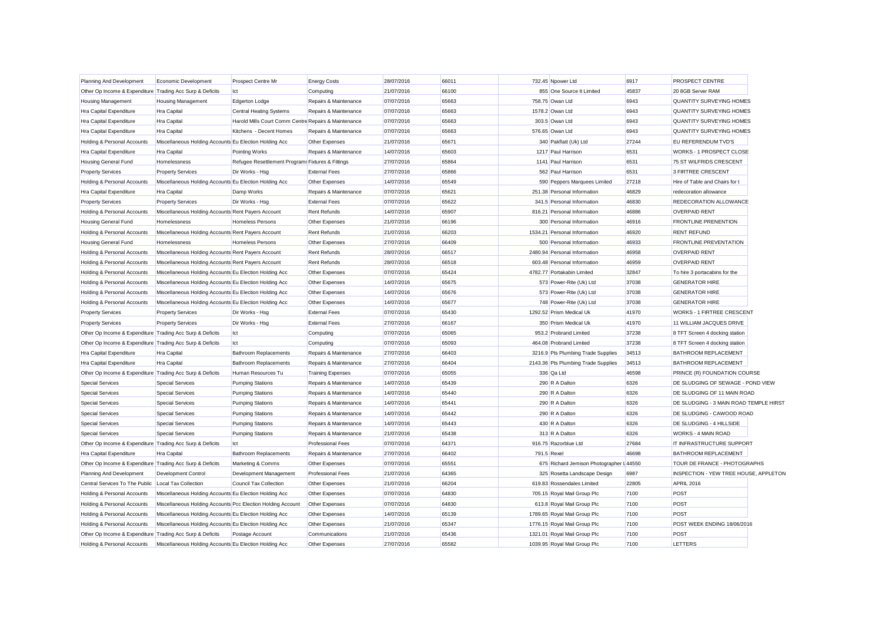| Planning And Development                                  | Economic Development                                        | Prospect Centre Mr                                   | <b>Energy Costs</b>      | 28/07/2016 | 66011 | 732.45 Npower Ltd                        | 6917  | PROSPECT CENTRE                        |  |
|-----------------------------------------------------------|-------------------------------------------------------------|------------------------------------------------------|--------------------------|------------|-------|------------------------------------------|-------|----------------------------------------|--|
| Other Op Income & Expenditure Trading Acc Surp & Deficits |                                                             | Ict                                                  | Computing                | 21/07/2016 | 66100 | 855 One Source It Limited                | 45837 | 20 8GB Server RAM                      |  |
| <b>Housing Management</b>                                 | <b>Housing Management</b>                                   | <b>Edgerton Lodge</b>                                | Repairs & Maintenance    | 07/07/2016 | 65663 | 758.75 Owan Ltd                          | 6943  | QUANTITY SURVEYING HOMES               |  |
| Hra Capital Expenditure                                   | Hra Capital                                                 | <b>Central Heating Systems</b>                       | Repairs & Maintenance    | 07/07/2016 | 65663 | 1578.2 Owan Ltd                          | 6943  | QUANTITY SURVEYING HOMES               |  |
| Hra Capital Expenditure                                   | Hra Capital                                                 | Harold Mills Court Comm Centre Repairs & Maintenance |                          | 07/07/2016 | 65663 | 303.5 Owan Ltd                           | 6943  | <b>QUANTITY SURVEYING HOMES</b>        |  |
| Hra Capital Expenditure                                   | <b>Hra Capital</b>                                          | Kitchens - Decent Homes                              | Repairs & Maintenance    | 07/07/2016 | 65663 | 576.65 Owan Ltd                          | 6943  | QUANTITY SURVEYING HOMES               |  |
| Holding & Personal Accounts                               | Miscellaneous Holding Accounts Eu Election Holding Acc      |                                                      | Other Expenses           | 21/07/2016 | 65671 | 340 Pakflatt (Uk) Ltd                    | 27244 | EU REFERENDUM TVD'S                    |  |
| Hra Capital Expenditure                                   | Hra Capital                                                 | Pointing Works                                       | Repairs & Maintenance    | 14/07/2016 | 65603 | 1217 Paul Harrison                       | 6531  | <b>WORKS - 1 PROSPECT CLOSE</b>        |  |
| Housing General Fund                                      | Homelessness                                                | Refugee Resettlement Programr Fixtures & Fittings    |                          | 27/07/2016 | 65864 | 1141 Paul Harrison                       | 6531  | 75 ST WILFRIDS CRESCENT                |  |
| <b>Property Services</b>                                  | <b>Property Services</b>                                    | Dir Works - Hsg                                      | <b>External Fees</b>     | 27/07/2016 | 65866 | 562 Paul Harrison                        | 6531  | 3 FIRTREE CRESCENT                     |  |
| Holding & Personal Accounts                               | Miscellaneous Holding Accounts Eu Election Holding Acc      |                                                      | Other Expenses           | 14/07/2016 | 65549 | 590 Peppers Marquees Limited             | 27218 | Hire of Table and Chairs for t         |  |
| Hra Capital Expenditure                                   | Hra Capital                                                 | Damp Works                                           | Repairs & Maintenance    | 07/07/2016 | 65621 | 251.38 Personal Information              | 46829 | redecoration allowance                 |  |
| <b>Property Services</b>                                  | <b>Property Services</b>                                    | Dir Works - Hsg                                      | <b>External Fees</b>     | 07/07/2016 | 65622 | 341.5 Personal Information               | 46830 | REDECORATION ALLOWANCE                 |  |
| Holding & Personal Accounts                               | Miscellaneous Holding Accounts Rent Payers Account          |                                                      | Rent Refunds             | 14/07/2016 | 65907 | 816.21 Personal Information              | 46886 | <b>OVERPAID RENT</b>                   |  |
| Housing General Fund                                      | Homelessness                                                | <b>Homeless Persons</b>                              | Other Expenses           | 21/07/2016 | 66196 | 300 Personal Information                 | 46916 | <b>FRONTLINE PRENENTION</b>            |  |
| Holding & Personal Accounts                               | Miscellaneous Holding Accounts Rent Payers Account          |                                                      | Rent Refunds             | 21/07/2016 | 66203 | 1534.21 Personal Information             | 46920 | <b>RENT REFUND</b>                     |  |
| Housing General Fund                                      | Homelessness                                                | <b>Homeless Persons</b>                              | Other Expenses           | 27/07/2016 | 66409 | 500 Personal Information                 | 46933 | <b>FRONTLINE PREVENTATION</b>          |  |
| Holding & Personal Accounts                               | Miscellaneous Holding Accounts Rent Payers Account          |                                                      | <b>Rent Refunds</b>      | 28/07/2016 | 66517 | 2480.94 Personal Information             | 46958 | <b>OVERPAID RENT</b>                   |  |
| Holding & Personal Accounts                               | Miscellaneous Holding Accounts Rent Payers Account          |                                                      | Rent Refunds             | 28/07/2016 | 66518 | 603.48 Personal Information              | 46959 | <b>OVERPAID RENT</b>                   |  |
| Holding & Personal Accounts                               | Miscellaneous Holding Accounts Eu Election Holding Acc      |                                                      | Other Expenses           | 07/07/2016 | 65424 | 4782.77 Portakabin Limited               | 32847 | To hire 3 portacabins for the          |  |
| Holding & Personal Accounts                               | Miscellaneous Holding Accounts Eu Election Holding Acc      |                                                      | Other Expenses           | 14/07/2016 | 65675 | 573 Power-Rite (Uk) Ltd                  | 37038 | <b>GENERATOR HIRE</b>                  |  |
| Holding & Personal Accounts                               | Miscellaneous Holding Accounts Eu Election Holding Acc      |                                                      | Other Expenses           | 14/07/2016 | 65676 | 573 Power-Rite (Uk) Ltd                  | 37038 | <b>GENERATOR HIRE</b>                  |  |
| Holding & Personal Accounts                               | Miscellaneous Holding Accounts Eu Election Holding Acc      |                                                      | Other Expenses           | 14/07/2016 | 65677 | 748 Power-Rite (Uk) Ltd                  | 37038 | <b>GENERATOR HIRE</b>                  |  |
| <b>Property Services</b>                                  | <b>Property Services</b>                                    | Dir Works - Hsg                                      | <b>External Fees</b>     | 07/07/2016 | 65430 | 1292.52 Prism Medical Uk                 | 41970 | <b>WORKS - 1 FIRTREE CRESCENT</b>      |  |
| <b>Property Services</b>                                  | <b>Property Services</b>                                    | Dir Works - Hsq                                      | <b>External Fees</b>     | 27/07/2016 | 66167 | 350 Prism Medical Uk                     | 41970 | 11 WILLIAM JACQUES DRIVE               |  |
| Other Op Income & Expenditure Trading Acc Surp & Deficits |                                                             | Ict                                                  | Computing                | 07/07/2016 | 65065 | 953.2 Probrand Limited                   | 37238 | 8 TFT Screen 4 docking station         |  |
| Other Op Income & Expenditure Trading Acc Surp & Deficits |                                                             | Ict                                                  | Computing                | 07/07/2016 | 65093 | 464.08 Probrand Limited                  | 37238 | 8 TFT Screen 4 docking station         |  |
| Hra Capital Expenditure                                   | Hra Capital                                                 | <b>Bathroom Replacements</b>                         | Repairs & Maintenance    | 27/07/2016 | 66403 | 3216.9 Pts Plumbing Trade Supplies       | 34513 | <b>BATHROOM REPLACEMENT</b>            |  |
| Hra Capital Expenditure                                   | Hra Capital                                                 | Bathroom Replacements                                | Repairs & Maintenance    | 27/07/2016 | 66404 | 2143.36 Pts Plumbing Trade Supplies      | 34513 | <b>BATHROOM REPLACEMENT</b>            |  |
| Other Op Income & Expenditure Trading Acc Surp & Deficits |                                                             | Human Resources Tu                                   | <b>Training Expenses</b> | 07/07/2016 | 65055 | 336 Qa Ltd                               | 46598 | PRINCE (R) FOUNDATION COURSE           |  |
| <b>Special Services</b>                                   | <b>Special Services</b>                                     | <b>Pumping Stations</b>                              | Repairs & Maintenance    | 14/07/2016 | 65439 | 290 R A Dalton                           | 6326  | DE SLUDGING OF SEWAGE - POND VIEW      |  |
| <b>Special Services</b>                                   | <b>Special Services</b>                                     | <b>Pumping Stations</b>                              | Repairs & Maintenance    | 14/07/2016 | 65440 | 290 R A Dalton                           | 6326  | DE SLUDGING OF 11 MAIN ROAD            |  |
| <b>Special Services</b>                                   | <b>Special Services</b>                                     | <b>Pumping Stations</b>                              | Repairs & Maintenance    | 14/07/2016 | 65441 | 290 R A Dalton                           | 6326  | DE SLUDGING - 3 MAIN ROAD TEMPLE HIRST |  |
| <b>Special Services</b>                                   | <b>Special Services</b>                                     | <b>Pumping Stations</b>                              | Repairs & Maintenance    | 14/07/2016 | 65442 | 290 R A Dalton                           | 6326  | DE SLUDGING - CAWOOD ROAD              |  |
| Special Services                                          | <b>Special Services</b>                                     | <b>Pumping Stations</b>                              | Repairs & Maintenance    | 14/07/2016 | 65443 | 430 R A Dalton                           | 6326  | DE SLUDGING - 4 HILLSIDE               |  |
| Special Services                                          | <b>Special Services</b>                                     | <b>Pumping Stations</b>                              | Repairs & Maintenance    | 21/07/2016 | 65438 | 313 R A Dalton                           | 6326  | <b>WORKS - 4 MAIN ROAD</b>             |  |
| Other Op Income & Expenditure Trading Acc Surp & Deficits |                                                             | Ict                                                  | Professional Fees        | 07/07/2016 | 64371 | 916.75 Razorblue Ltd                     | 27684 | IT INFRASTRUCTURE SUPPORT              |  |
| Hra Capital Expenditure                                   | <b>Hra Capital</b>                                          | <b>Bathroom Replacements</b>                         | Repairs & Maintenance    | 27/07/2016 | 66402 | 791.5 Rexel                              | 46698 | <b>BATHROOM REPLACEMENT</b>            |  |
| Other Op Income & Expenditure Trading Acc Surp & Deficits |                                                             | Marketing & Comms                                    | Other Expenses           | 07/07/2016 | 65551 | 675 Richard Jemison Photographer I 44550 |       | TOUR DE FRANCE - PHOTOGRAPHS           |  |
| Planning And Development                                  | Development Control                                         | Development Management                               | Professional Fees        | 21/07/2016 | 64365 | 325 Rosetta Landscape Design             | 6987  | INSPECTION - YEW TREE HOUSE, APPLETON  |  |
| Central Services To The Public                            | Local Tax Collection                                        | Council Tax Collection                               | Other Expenses           | 21/07/2016 | 66204 | 619.83 Rossendales Limited               | 22805 | <b>APRIL 2016</b>                      |  |
| Holding & Personal Accounts                               | Miscellaneous Holding Accounts Eu Election Holding Acc      |                                                      | Other Expenses           | 07/07/2016 | 64830 | 705.15 Royal Mail Group Plc              | 7100  | POST                                   |  |
| Holding & Personal Accounts                               | Miscellaneous Holding Accounts Pcc Election Holding Account |                                                      | Other Expenses           | 07/07/2016 | 64830 | 613.8 Royal Mail Group Plc               | 7100  | POST                                   |  |
| Holding & Personal Accounts                               | Miscellaneous Holding Accounts Eu Election Holding Acc      |                                                      | Other Expenses           | 14/07/2016 | 65139 | 1789.65 Royal Mail Group Plc             | 7100  | POST                                   |  |
| Holding & Personal Accounts                               | Miscellaneous Holding Accounts Eu Election Holding Acc      |                                                      | Other Expenses           | 21/07/2016 | 65347 | 1776.15 Royal Mail Group Plc             | 7100  | POST WEEK ENDING 18/06/2016            |  |
| Other Op Income & Expenditure                             | Trading Acc Surp & Deficits                                 | Postage Account                                      | Communications           | 21/07/2016 | 65436 | 1321.01 Roval Mail Group Plc             | 7100  | POST                                   |  |
| Holding & Personal Accounts                               | Miscellaneous Holding Accounts Eu Election Holding Acc      |                                                      | Other Expenses           | 27/07/2016 | 65582 | 1039.95 Roval Mail Group Plc             | 7100  | LETTERS                                |  |
|                                                           |                                                             |                                                      |                          |            |       |                                          |       |                                        |  |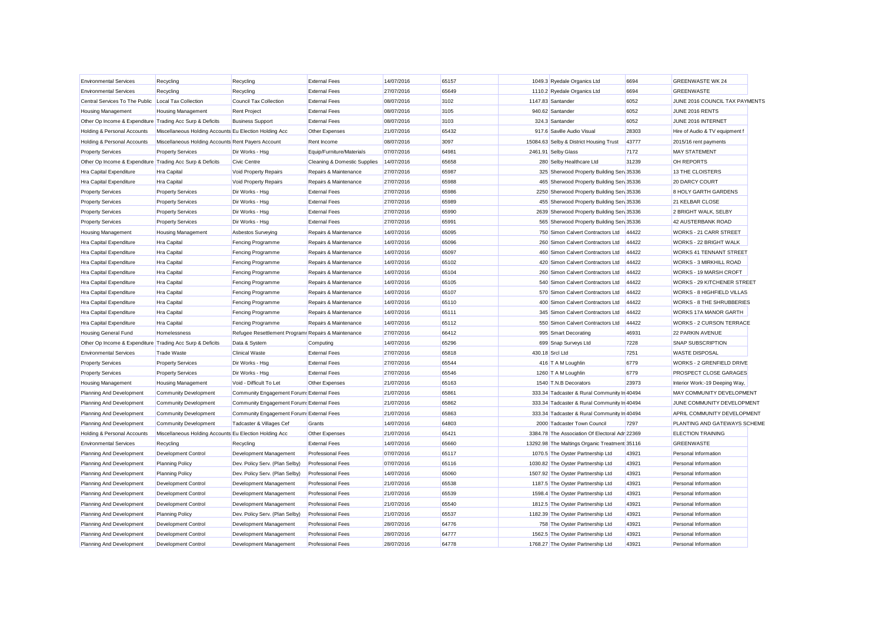| <b>Environmental Services</b>                             | Recycling                                              | Recycling                                           | <b>External Fees</b>         | 14/07/2016 | 65157 | 1049.3 Ryedale Organics Ltd                    | 6694  | <b>GREENWASTE WK 24</b>          |  |
|-----------------------------------------------------------|--------------------------------------------------------|-----------------------------------------------------|------------------------------|------------|-------|------------------------------------------------|-------|----------------------------------|--|
| <b>Environmental Services</b>                             | Recycling                                              | Recycling                                           | <b>External Fees</b>         | 27/07/2016 | 65649 | 1110.2 Ryedale Organics Ltd                    | 6694  | <b>GREENWASTE</b>                |  |
| Central Services To The Public                            | Local Tax Collection                                   | <b>Council Tax Collection</b>                       | <b>External Fees</b>         | 08/07/2016 | 3102  | 1147.83 Santander                              | 6052  | JUNE 2016 COUNCIL TAX PAYMENTS   |  |
| <b>Housing Management</b>                                 | <b>Housing Management</b>                              | <b>Rent Project</b>                                 | <b>External Fees</b>         | 08/07/2016 | 3105  | 940.62 Santander                               | 6052  | JUNE 2016 RENTS                  |  |
| Other Op Income & Expenditure Trading Acc Surp & Deficits |                                                        | <b>Business Support</b>                             | <b>External Fees</b>         | 08/07/2016 | 3103  | 324.3 Santander                                | 6052  | JUNE 2016 INTERNET               |  |
| Holding & Personal Accounts                               | Miscellaneous Holding Accounts Eu Election Holding Acc |                                                     | Other Expenses               | 21/07/2016 | 65432 | 917.6 Saville Audio Visual                     | 28303 | Hire of Audio & TV equipment f   |  |
| Holding & Personal Accounts                               | Miscellaneous Holding Accounts Rent Payers Account     |                                                     | Rent Income                  | 08/07/2016 | 3097  | 15084.63 Selby & District Housing Trust        | 43777 | 2015/16 rent payments            |  |
| <b>Property Services</b>                                  | <b>Property Services</b>                               | Dir Works - Hsg                                     | Equip/Furniture/Materials    | 07/07/2016 | 64981 | 2461.91 Selby Glass                            | 7172  | <b>MAY STATEMENT</b>             |  |
| Other Op Income & Expenditure Trading Acc Surp & Deficits |                                                        | Civic Centre                                        | Cleaning & Domestic Supplies | 14/07/2016 | 65658 | 280 Selby Healthcare Ltd                       | 31239 | OH REPORTS                       |  |
| Hra Capital Expenditure                                   | Hra Capital                                            | <b>Void Property Repairs</b>                        | Repairs & Maintenance        | 27/07/2016 | 65987 | 325 Sherwood Property Building Serv 35336      |       | 13 THE CLOISTERS                 |  |
| Hra Capital Expenditure                                   | Hra Capital                                            | Void Property Repairs                               | Repairs & Maintenance        | 27/07/2016 | 65988 | 465 Sherwood Property Building Sen 35336       |       | 20 DARCY COURT                   |  |
| <b>Property Services</b>                                  | <b>Property Services</b>                               | Dir Works - Hsg                                     | <b>External Fees</b>         | 27/07/2016 | 65986 | 2250 Sherwood Property Building Sen 35336      |       | <b>8 HOLY GARTH GARDENS</b>      |  |
| <b>Property Services</b>                                  | <b>Property Services</b>                               | Dir Works - Hsg                                     | <b>External Fees</b>         | 27/07/2016 | 65989 | 455 Sherwood Property Building Serv 35336      |       | 21 KELBAR CLOSE                  |  |
| <b>Property Services</b>                                  | <b>Property Services</b>                               | Dir Works - Hsg                                     | <b>External Fees</b>         | 27/07/2016 | 65990 | 2639 Sherwood Property Building Sen 35336      |       | 2 BRIGHT WALK, SELBY             |  |
| <b>Property Services</b>                                  | <b>Property Services</b>                               | Dir Works - Hsg                                     | <b>External Fees</b>         | 27/07/2016 | 65991 | 565 Sherwood Property Building Serv 35336      |       | 42 AUSTERBANK ROAD               |  |
| <b>Housing Management</b>                                 | <b>Housing Management</b>                              | Asbestos Surveying                                  | Repairs & Maintenance        | 14/07/2016 | 65095 | 750 Simon Calvert Contractors Ltd              | 44422 | <b>WORKS - 21 CARR STREET</b>    |  |
| Hra Capital Expenditure                                   | Hra Capital                                            | Fencing Programme                                   | Repairs & Maintenance        | 14/07/2016 | 65096 | 260 Simon Calvert Contractors Ltd              | 44422 | WORKS - 22 BRIGHT WALK           |  |
| Hra Capital Expenditure                                   | Hra Capital                                            | Fencing Programme                                   | Repairs & Maintenance        | 14/07/2016 | 65097 | 460 Simon Calvert Contractors Ltd              | 44422 | <b>WORKS 41 TENNANT STREET</b>   |  |
| Hra Capital Expenditure                                   | Hra Capital                                            | Fencing Programme                                   | Repairs & Maintenance        | 14/07/2016 | 65102 | 420 Simon Calvert Contractors Ltd              | 44422 | WORKS - 3 MIRKHILL ROAD          |  |
| Hra Capital Expenditure                                   | Hra Capital                                            | Fencing Programme                                   | Repairs & Maintenance        | 14/07/2016 | 65104 | 260 Simon Calvert Contractors Ltd              | 44422 | WORKS - 19 MARSH CROFT           |  |
| Hra Capital Expenditure                                   | Hra Capital                                            | Fencing Programme                                   | Repairs & Maintenance        | 14/07/2016 | 65105 | 540 Simon Calvert Contractors Ltd              | 44422 | WORKS - 29 KITCHENER STREET      |  |
| Hra Capital Expenditure                                   | Hra Capital                                            | Fencing Programme                                   | Repairs & Maintenance        | 14/07/2016 | 65107 | 570 Simon Calvert Contractors Ltd              | 44422 | WORKS - 8 HIGHFIELD VILLAS       |  |
| Hra Capital Expenditure                                   | Hra Capital                                            | Fencing Programme                                   | Repairs & Maintenance        | 14/07/2016 | 65110 | 400 Simon Calvert Contractors Ltd              | 44422 | <b>WORKS - 8 THE SHRUBBERIES</b> |  |
| Hra Capital Expenditure                                   | Hra Capital                                            | Fencing Programme                                   | Repairs & Maintenance        | 14/07/2016 | 65111 | 345 Simon Calvert Contractors Ltd              | 44422 | WORKS 17A MANOR GARTH            |  |
| Hra Capital Expenditure                                   | Hra Capital                                            | Fencing Programme                                   | Repairs & Maintenance        | 14/07/2016 | 65112 | 550 Simon Calvert Contractors Ltd              | 44422 | WORKS - 2 CURSON TERRACE         |  |
| Housing General Fund                                      | Homelessness                                           | Refugee Resettlement Programr Repairs & Maintenance |                              | 27/07/2016 | 66412 | 995 Smart Decorating                           | 46931 | <b>22 PARKIN AVENUE</b>          |  |
| Other Op Income & Expenditure Trading Acc Surp & Deficits |                                                        | Data & System                                       | Computing                    | 14/07/2016 | 65296 | 699 Snap Surveys Ltd                           | 7228  | <b>SNAP SUBSCRIPTION</b>         |  |
| <b>Environmental Services</b>                             | <b>Trade Waste</b>                                     | <b>Clinical Waste</b>                               | <b>External Fees</b>         | 27/07/2016 | 65818 | 430.18 Srcl Ltd                                | 7251  | <b>WASTE DISPOSAL</b>            |  |
| <b>Property Services</b>                                  | <b>Property Services</b>                               | Dir Works - Hsg                                     | <b>External Fees</b>         | 27/07/2016 | 65544 | 416 T A M Loughlin                             | 6779  | WORKS - 2 GRENFIELD DRIVE        |  |
| <b>Property Services</b>                                  | <b>Property Services</b>                               | Dir Works - Hsg                                     | <b>External Fees</b>         | 27/07/2016 | 65546 | 1260 T A M Loughlin                            | 6779  | PROSPECT CLOSE GARAGES           |  |
| <b>Housing Management</b>                                 | <b>Housing Management</b>                              | Void - Difficult To Let                             | Other Expenses               | 21/07/2016 | 65163 | 1540 T.N.B Decorators                          | 23973 | Interior Work:-19 Deeping Way,   |  |
| Planning And Development                                  | <b>Community Development</b>                           | Community Engagement Forum: External Fees           |                              | 21/07/2016 | 65861 | 333.34 Tadcaster & Rural Community In 40494    |       | MAY COMMUNITY DEVELOPMENT        |  |
| Planning And Development                                  | <b>Community Development</b>                           | Community Engagement Forum: External Fees           |                              | 21/07/2016 | 65862 | 333.34 Tadcaster & Rural Community Ir 40494    |       | JUNE COMMUNITY DEVELOPMENT       |  |
| Planning And Development                                  | <b>Community Development</b>                           | Community Engagement Forum: External Fees           |                              | 21/07/2016 | 65863 | 333.34 Tadcaster & Rural Community Ir 40494    |       | APRIL COMMUNITY DEVELOPMENT      |  |
| Planning And Development                                  | <b>Community Development</b>                           | Tadcaster & Villages Cef                            | Grants                       | 14/07/2016 | 64803 | 2000 Tadcaster Town Council                    | 7297  | PLANTING AND GATEWAYS SCHEME     |  |
| Holding & Personal Accounts                               | Miscellaneous Holding Accounts Eu Election Holding Acc |                                                     | Other Expenses               | 21/07/2016 | 65421 | 3384.78 The Association Of Electoral Adr 22369 |       | <b>ELECTION TRAINING</b>         |  |
| <b>Environmental Services</b>                             | Recycling                                              | Recycling                                           | <b>External Fees</b>         | 14/07/2016 | 65660 | 13292.98 The Maltings Organic Treatment 35116  |       | <b>GREENWASTE</b>                |  |
| Planning And Development                                  | Development Control                                    | Development Management                              | <b>Professional Fees</b>     | 07/07/2016 | 65117 | 1070.5 The Oyster Partnership Ltd              | 43921 | Personal Information             |  |
| Planning And Development                                  | <b>Planning Policy</b>                                 | Dev. Policy Serv. (Plan Selby)                      | <b>Professional Fees</b>     | 07/07/2016 | 65116 | 1030.82 The Oyster Partnership Ltd             | 43921 | Personal Information             |  |
| Planning And Development                                  | <b>Planning Policy</b>                                 | Dev. Policy Serv. (Plan Selby)                      | <b>Professional Fees</b>     | 14/07/2016 | 65060 | 1507.92 The Oyster Partnership Ltd             | 43921 | Personal Information             |  |
| Planning And Development                                  | <b>Development Control</b>                             | Development Management                              | <b>Professional Fees</b>     | 21/07/2016 | 65538 | 1187.5 The Oyster Partnership Ltd              | 43921 | Personal Information             |  |
| Planning And Development                                  | Development Control                                    | Development Management                              | <b>Professional Fees</b>     | 21/07/2016 | 65539 | 1598.4 The Oyster Partnership Ltd              | 43921 | Personal Information             |  |
| Planning And Development                                  | Development Control                                    | Development Management                              | <b>Professional Fees</b>     | 21/07/2016 | 65540 | 1812.5 The Oyster Partnership Ltd              | 43921 | Personal Information             |  |
| Planning And Development                                  | <b>Planning Policy</b>                                 | Dev. Policy Serv. (Plan Selby)                      | <b>Professional Fees</b>     | 21/07/2016 | 65537 | 1182.39 The Oyster Partnership Ltd             | 43921 | Personal Information             |  |
| Planning And Development                                  | Development Control                                    | Development Management                              | <b>Professional Fees</b>     | 28/07/2016 | 64776 | 758 The Oyster Partnership Ltd                 | 43921 | Personal Information             |  |
| Planning And Development                                  | Development Control                                    | Development Management                              | <b>Professional Fees</b>     | 28/07/2016 | 64777 | 1562.5 The Oyster Partnership Ltd              | 43921 | Personal Information             |  |
| Planning And Development                                  | Development Control                                    | Development Management                              | <b>Professional Fees</b>     | 28/07/2016 | 64778 | 1768.27 The Oyster Partnership Ltd             | 43921 | Personal Information             |  |